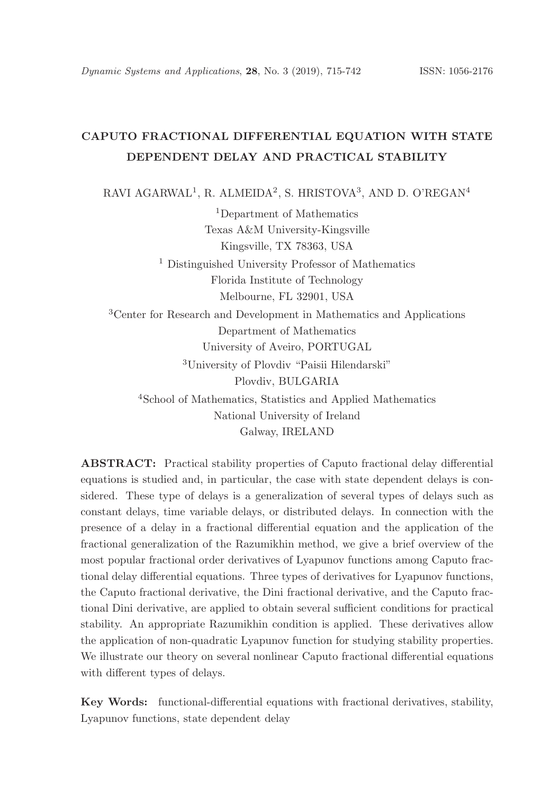# CAPUTO FRACTIONAL DIFFERENTIAL EQUATION WITH STATE DEPENDENT DELAY AND PRACTICAL STABILITY

RAVI AGARWAL<sup>1</sup>, R. ALMEIDA<sup>2</sup>, S. HRISTOVA<sup>3</sup>, AND D. O'REGAN<sup>4</sup>

<sup>1</sup>Department of Mathematics Texas A&M University-Kingsville Kingsville, TX 78363, USA

<sup>1</sup> Distinguished University Professor of Mathematics Florida Institute of Technology Melbourne, FL 32901, USA

<sup>3</sup>Center for Research and Development in Mathematics and Applications Department of Mathematics University of Aveiro, PORTUGAL <sup>3</sup>University of Plovdiv "Paisii Hilendarski"

Plovdiv, BULGARIA

<sup>4</sup>School of Mathematics, Statistics and Applied Mathematics National University of Ireland Galway, IRELAND

ABSTRACT: Practical stability properties of Caputo fractional delay differential equations is studied and, in particular, the case with state dependent delays is considered. These type of delays is a generalization of several types of delays such as constant delays, time variable delays, or distributed delays. In connection with the presence of a delay in a fractional differential equation and the application of the fractional generalization of the Razumikhin method, we give a brief overview of the most popular fractional order derivatives of Lyapunov functions among Caputo fractional delay differential equations. Three types of derivatives for Lyapunov functions, the Caputo fractional derivative, the Dini fractional derivative, and the Caputo fractional Dini derivative, are applied to obtain several sufficient conditions for practical stability. An appropriate Razumikhin condition is applied. These derivatives allow the application of non-quadratic Lyapunov function for studying stability properties. We illustrate our theory on several nonlinear Caputo fractional differential equations with different types of delays.

Key Words: functional-differential equations with fractional derivatives, stability, Lyapunov functions, state dependent delay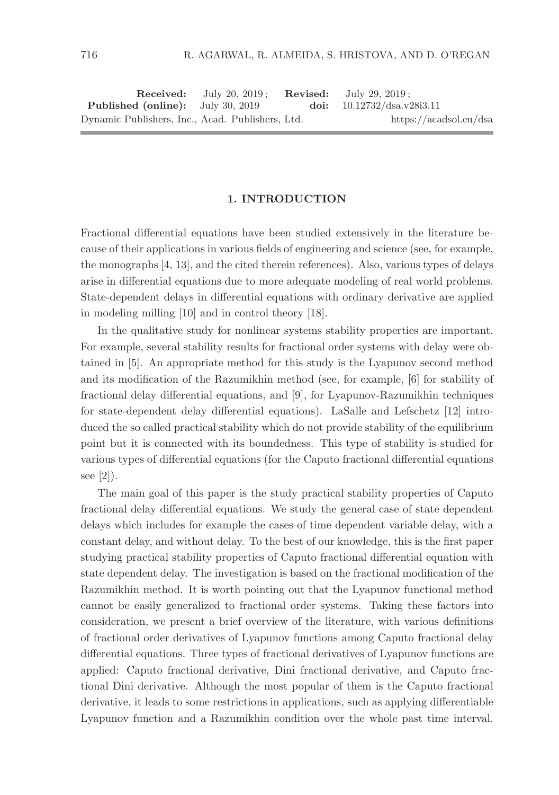|                                                  | <b>Received:</b> July 20, $2019$ : | <b>Revised:</b> July 29, 2019; |
|--------------------------------------------------|------------------------------------|--------------------------------|
| <b>Published (online):</b> July 30, 2019         |                                    | doi: $10.12732/dsa.v28i3.11$   |
| Dynamic Publishers, Inc., Acad. Publishers, Ltd. |                                    | https://acadsol.eu/dsa         |

### 1. INTRODUCTION

Fractional differential equations have been studied extensively in the literature because of their applications in various fields of engineering and science (see, for example, the monographs [4, 13], and the cited therein references). Also, various types of delays arise in differential equations due to more adequate modeling of real world problems. State-dependent delays in differential equations with ordinary derivative are applied in modeling milling [10] and in control theory [18].

In the qualitative study for nonlinear systems stability properties are important. For example, several stability results for fractional order systems with delay were obtained in [5]. An appropriate method for this study is the Lyapunov second method and its modification of the Razumikhin method (see, for example, [6] for stability of fractional delay differential equations, and [9], for Lyapunov-Razumikhin techniques for state-dependent delay differential equations). LaSalle and Lefschetz [12] introduced the so called practical stability which do not provide stability of the equilibrium point but it is connected with its boundedness. This type of stability is studied for various types of differential equations (for the Caputo fractional differential equations see [2]).

The main goal of this paper is the study practical stability properties of Caputo fractional delay differential equations. We study the general case of state dependent delays which includes for example the cases of time dependent variable delay, with a constant delay, and without delay. To the best of our knowledge, this is the first paper studying practical stability properties of Caputo fractional differential equation with state dependent delay. The investigation is based on the fractional modification of the Razumikhin method. It is worth pointing out that the Lyapunov functional method cannot be easily generalized to fractional order systems. Taking these factors into consideration, we present a brief overview of the literature, with various definitions of fractional order derivatives of Lyapunov functions among Caputo fractional delay differential equations. Three types of fractional derivatives of Lyapunov functions are applied: Caputo fractional derivative, Dini fractional derivative, and Caputo fractional Dini derivative. Although the most popular of them is the Caputo fractional derivative, it leads to some restrictions in applications, such as applying differentiable Lyapunov function and a Razumikhin condition over the whole past time interval.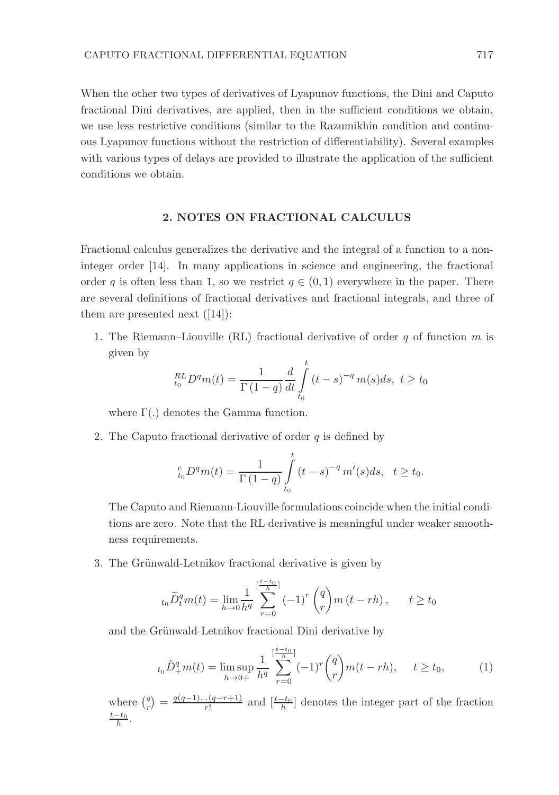When the other two types of derivatives of Lyapunov functions, the Dini and Caputo fractional Dini derivatives, are applied, then in the sufficient conditions we obtain, we use less restrictive conditions (similar to the Razumikhin condition and continuous Lyapunov functions without the restriction of differentiability). Several examples with various types of delays are provided to illustrate the application of the sufficient conditions we obtain.

### 2. NOTES ON FRACTIONAL CALCULUS

Fractional calculus generalizes the derivative and the integral of a function to a noninteger order [14]. In many applications in science and engineering, the fractional order q is often less than 1, so we restrict  $q \in (0, 1)$  everywhere in the paper. There are several definitions of fractional derivatives and fractional integrals, and three of them are presented next  $([14])$ :

1. The Riemann–Liouville (RL) fractional derivative of order q of function  $m$  is given by

$$
{}_{t_0}^{RL}D^q m(t) = \frac{1}{\Gamma(1-q)} \frac{d}{dt} \int_{t_0}^t (t-s)^{-q} m(s) ds, \ t \ge t_0
$$

where  $\Gamma(.)$  denotes the Gamma function.

2. The Caputo fractional derivative of order  $q$  is defined by

$$
{}_{t_0}^c D^q m(t) = \frac{1}{\Gamma(1-q)} \int_{t_0}^t (t-s)^{-q} m'(s) ds, \quad t \ge t_0.
$$

The Caputo and Riemann-Liouville formulations coincide when the initial conditions are zero. Note that the RL derivative is meaningful under weaker smoothness requirements.

3. The Grünwald-Letnikov fractional derivative is given by

$$
{}_{t_0}\widetilde{D}_t^q m(t) = \lim_{h \to 0} \frac{1}{h^q} \sum_{r=0}^{[\frac{t-t_0}{h}]} (-1)^r {q \choose r} m(t-rh), \qquad t \ge t_0
$$

and the Grünwald-Letnikov fractional Dini derivative by

$$
t_0 \tilde{D}_+^q m(t) = \limsup_{h \to 0+} \frac{1}{h^q} \sum_{r=0}^{\left[\frac{t-t_0}{h}\right]} (-1)^r {q \choose r} m(t-rh), \quad t \ge t_0,
$$
 (1)

where  $\binom{q}{r} = \frac{q(q-1)...(q-r+1)}{r!}$  $\frac{d \cdot (q - r + 1)}{r!}$  and  $\left[\frac{t - t_0}{h}\right]$  denotes the integer part of the fraction  $\frac{t-t_0}{h}$ .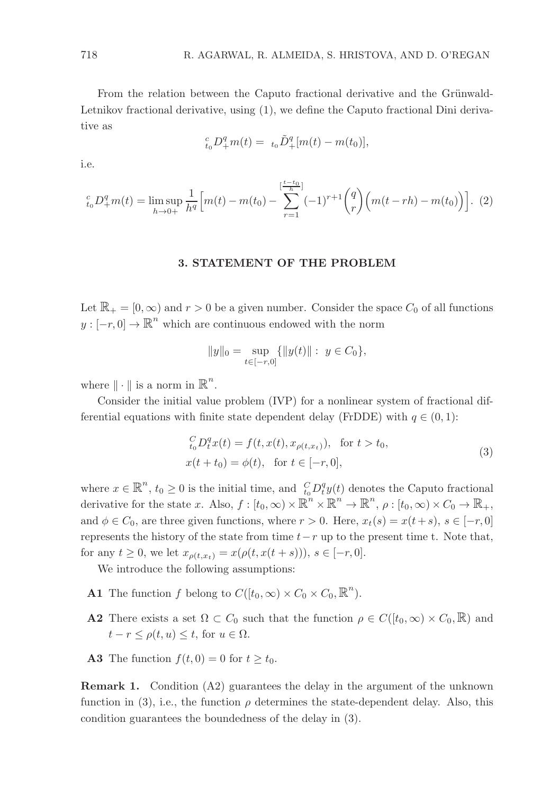From the relation between the Caputo fractional derivative and the Grünwald-Letnikov fractional derivative, using (1), we define the Caputo fractional Dini derivative as

$$
{}_{t_0}^c D_+^q m(t) = {}_{t_0} \tilde{D}_+^q [m(t) - m(t_0)],
$$

i.e.

$$
t_0^c D_+^q m(t) = \limsup_{h \to 0+} \frac{1}{h^q} \Big[ m(t) - m(t_0) - \sum_{r=1}^{\left[\frac{t-t_0}{h}\right]} (-1)^{r+1} {q \choose r} \Big( m(t - rh) - m(t_0) \Big) \Big]. \tag{2}
$$

### 3. STATEMENT OF THE PROBLEM

Let  $\mathbb{R}_+ = [0, \infty)$  and  $r > 0$  be a given number. Consider the space  $C_0$  of all functions  $y: [-r, 0] \to \mathbb{R}^n$  which are continuous endowed with the norm

$$
||y||_0 = \sup_{t \in [-r,0]} \{ ||y(t)|| : y \in C_0 \},\
$$

where  $\|\cdot\|$  is a norm in  $\mathbb{R}^n$ .

Consider the initial value problem (IVP) for a nonlinear system of fractional differential equations with finite state dependent delay (FrDDE) with  $q \in (0, 1)$ :

$$
{}_{t_0}^C D_t^q x(t) = f(t, x(t), x_{\rho(t, x_t)}), \text{ for } t > t_0,
$$
  
 
$$
x(t + t_0) = \phi(t), \text{ for } t \in [-r, 0],
$$
 (3)

where  $x \in \mathbb{R}^n$ ,  $t_0 \geq 0$  is the initial time, and  $C_{t_0}^C D_t^q y(t)$  denotes the Caputo fractional derivative for the state x. Also,  $f: [t_0, \infty) \times \mathbb{R}^n \times \mathbb{R}^n \to \mathbb{R}^n$ ,  $\rho: [t_0, \infty) \times C_0 \to \mathbb{R}_+$ , and  $\phi \in C_0$ , are three given functions, where  $r > 0$ . Here,  $x_t(s) = x(t+s)$ ,  $s \in [-r, 0]$ represents the history of the state from time  $t-r$  up to the present time t. Note that, for any  $t \geq 0$ , we let  $x_{\rho(t,x_t)} = x(\rho(t, x(t+s))), s \in [-r, 0].$ 

We introduce the following assumptions:

- **A1** The function f belong to  $C([t_0,\infty) \times C_0 \times C_0, \mathbb{R}^n)$ .
- **A2** There exists a set  $\Omega \subset C_0$  such that the function  $\rho \in C([t_0,\infty) \times C_0,\mathbb{R})$  and  $t - r \leq \rho(t, u) \leq t$ , for  $u \in \Omega$ .
- **A3** The function  $f(t, 0) = 0$  for  $t \geq t_0$ .

Remark 1. Condition (A2) guarantees the delay in the argument of the unknown function in (3), i.e., the function  $\rho$  determines the state-dependent delay. Also, this condition guarantees the boundedness of the delay in (3).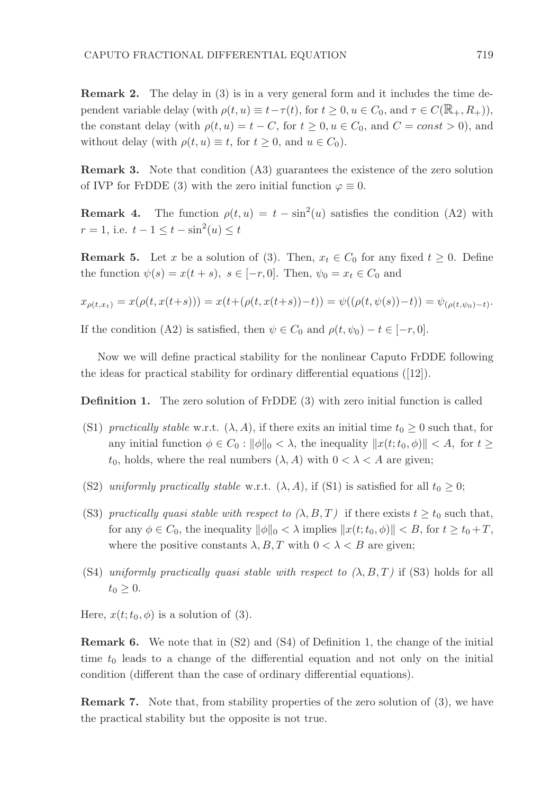Remark 2. The delay in (3) is in a very general form and it includes the time dependent variable delay (with  $\rho(t, u) \equiv t - \tau(t)$ , for  $t \geq 0, u \in C_0$ , and  $\tau \in C(\mathbb{R}_+, R_+),$ the constant delay (with  $\rho(t, u) = t - C$ , for  $t \geq 0, u \in C_0$ , and  $C = const > 0$ ), and without delay (with  $\rho(t, u) \equiv t$ , for  $t \geq 0$ , and  $u \in C_0$ ).

Remark 3. Note that condition (A3) guarantees the existence of the zero solution of IVP for FrDDE (3) with the zero initial function  $\varphi \equiv 0$ .

**Remark 4.** The function  $\rho(t, u) = t - \sin^2(u)$  satisfies the condition (A2) with  $r = 1$ , i.e.  $t - 1 \le t - \sin^2(u) \le t$ 

**Remark 5.** Let x be a solution of (3). Then,  $x_t \in C_0$  for any fixed  $t \geq 0$ . Define the function  $\psi(s) = x(t+s), s \in [-r, 0].$  Then,  $\psi_0 = x_t \in C_0$  and

$$
x_{\rho(t,x_t)} = x(\rho(t,x(t+s))) = x(t+(\rho(t,x(t+s))-t)) = \psi((\rho(t,\psi(s))-t)) = \psi_{(\rho(t,\psi_0)-t)}.
$$

If the condition (A2) is satisfied, then  $\psi \in C_0$  and  $\rho(t, \psi_0) - t \in [-r, 0].$ 

Now we will define practical stability for the nonlinear Caputo FrDDE following the ideas for practical stability for ordinary differential equations ([12]).

Definition 1. The zero solution of FrDDE (3) with zero initial function is called

- (S1) practically stable w.r.t.  $(\lambda, A)$ , if there exits an initial time  $t_0 \geq 0$  such that, for any initial function  $\phi \in C_0 : ||\phi||_0 < \lambda$ , the inequality  $||x(t;t_0, \phi)|| < A$ , for  $t \ge$  $t_0$ , holds, where the real numbers  $(\lambda, A)$  with  $0 < \lambda < A$  are given;
- (S2) uniformly practically stable w.r.t.  $(\lambda, A)$ , if (S1) is satisfied for all  $t_0 \geq 0$ ;
- (S3) practically quasi stable with respect to  $(\lambda, B, T)$  if there exists  $t \geq t_0$  such that, for any  $\phi \in C_0$ , the inequality  $\|\phi\|_0 < \lambda$  implies  $\|x(t;t_0, \phi)\| < B$ , for  $t \ge t_0 + T$ , where the positive constants  $\lambda, B, T$  with  $0 < \lambda < B$  are given;
- (S4) uniformly practically quasi stable with respect to  $(\lambda, B, T)$  if (S3) holds for all  $t_0 \geq 0$ .

Here,  $x(t; t_0, \phi)$  is a solution of (3).

Remark 6. We note that in (S2) and (S4) of Definition 1, the change of the initial time  $t_0$  leads to a change of the differential equation and not only on the initial condition (different than the case of ordinary differential equations).

Remark 7. Note that, from stability properties of the zero solution of (3), we have the practical stability but the opposite is not true.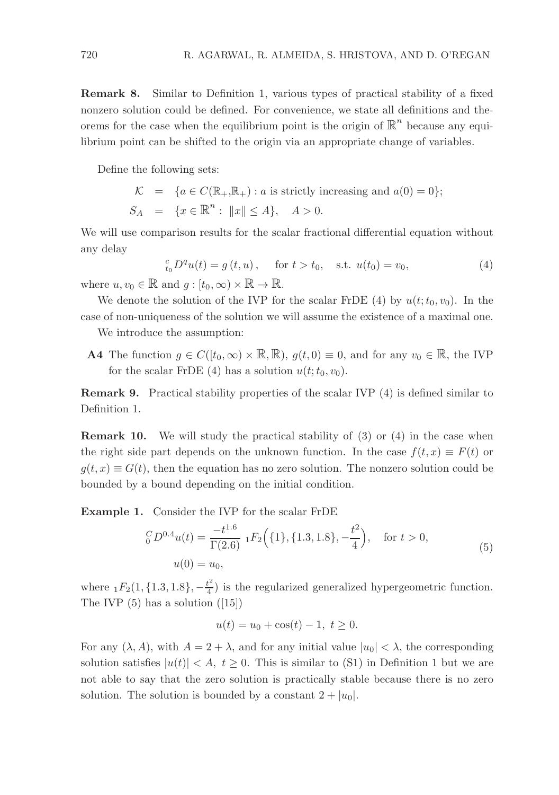Remark 8. Similar to Definition 1, various types of practical stability of a fixed nonzero solution could be defined. For convenience, we state all definitions and theorems for the case when the equilibrium point is the origin of  $\mathbb{R}^n$  because any equilibrium point can be shifted to the origin via an appropriate change of variables.

Define the following sets:

$$
\mathcal{K} = \{a \in C(\mathbb{R}_+, \mathbb{R}_+) : a \text{ is strictly increasing and } a(0) = 0\};
$$
  

$$
S_A = \{x \in \mathbb{R}^n : ||x|| \le A\}, \quad A > 0.
$$

We will use comparison results for the scalar fractional differential equation without any delay

$$
{}_{t_0}^c D^q u(t) = g(t, u), \quad \text{for } t > t_0, \quad \text{s.t. } u(t_0) = v_0,
$$
  

$$
\vdots \mathbb{R} \text{ and } a : [t_0, \infty) \times \mathbb{R} \to \mathbb{R}
$$
 (4)

where  $u, v_0 \in \mathbb{R}$  and  $g : [t_0, \infty) \times \mathbb{R} \to \mathbb{R}$ .

We denote the solution of the IVP for the scalar FrDE (4) by  $u(t; t_0, v_0)$ . In the case of non-uniqueness of the solution we will assume the existence of a maximal one.

We introduce the assumption:

**A4** The function  $g \in C([t_0,\infty) \times \mathbb{R}, \mathbb{R})$ ,  $g(t,0) \equiv 0$ , and for any  $v_0 \in \mathbb{R}$ , the IVP for the scalar FrDE (4) has a solution  $u(t; t_0, v_0)$ .

Remark 9. Practical stability properties of the scalar IVP (4) is defined similar to Definition 1.

Remark 10. We will study the practical stability of (3) or (4) in the case when the right side part depends on the unknown function. In the case  $f(t, x) \equiv F(t)$  or  $q(t, x) \equiv G(t)$ , then the equation has no zero solution. The nonzero solution could be bounded by a bound depending on the initial condition.

Example 1. Consider the IVP for the scalar FrDE

$$
{}_{0}^{C}D^{0.4}u(t) = \frac{-t^{1.6}}{\Gamma(2.6)} {}_{1}F_{2}\Big(\{1\},\{1.3,1.8\},-\frac{t^{2}}{4}\Big), \text{ for } t > 0,
$$
  
\n
$$
u(0) = u_{0}, \tag{5}
$$

where  $_1F_2(1, \{1.3, 1.8\}, -\frac{t^2}{4})$  $\frac{t}{4}$ ) is the regularized generalized hypergeometric function. The IVP  $(5)$  has a solution  $([15])$ 

$$
u(t) = u_0 + \cos(t) - 1, \ t \ge 0.
$$

For any  $(\lambda, A)$ , with  $A = 2 + \lambda$ , and for any initial value  $|u_0| < \lambda$ , the corresponding solution satisfies  $|u(t)| < A$ ,  $t \geq 0$ . This is similar to (S1) in Definition 1 but we are not able to say that the zero solution is practically stable because there is no zero solution. The solution is bounded by a constant  $2 + |u_0|$ .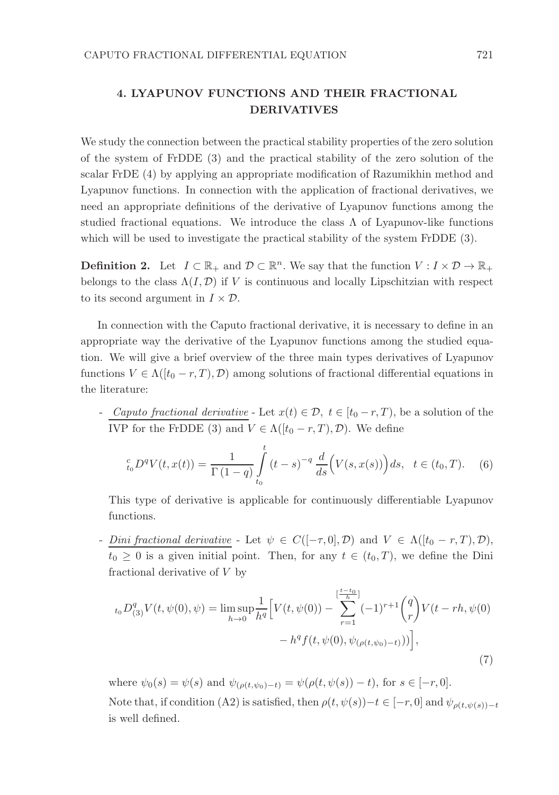### 4. LYAPUNOV FUNCTIONS AND THEIR FRACTIONAL DERIVATIVES

We study the connection between the practical stability properties of the zero solution of the system of FrDDE (3) and the practical stability of the zero solution of the scalar FrDE (4) by applying an appropriate modification of Razumikhin method and Lyapunov functions. In connection with the application of fractional derivatives, we need an appropriate definitions of the derivative of Lyapunov functions among the studied fractional equations. We introduce the class  $\Lambda$  of Lyapunov-like functions which will be used to investigate the practical stability of the system FrDDE  $(3)$ .

**Definition 2.** Let  $I \subset \mathbb{R}_+$  and  $\mathcal{D} \subset \mathbb{R}^n$ . We say that the function  $V : I \times \mathcal{D} \to \mathbb{R}_+$ belongs to the class  $\Lambda(I, \mathcal{D})$  if V is continuous and locally Lipschitzian with respect to its second argument in  $I \times \mathcal{D}$ .

In connection with the Caputo fractional derivative, it is necessary to define in an appropriate way the derivative of the Lyapunov functions among the studied equation. We will give a brief overview of the three main types derivatives of Lyapunov functions  $V \in \Lambda([t_0 - r, T), \mathcal{D})$  among solutions of fractional differential equations in the literature:

- Caputo fractional derivative - Let  $x(t) \in \mathcal{D}$ ,  $t \in [t_0 - r, T)$ , be a solution of the IVP for the FrDDE (3) and  $V \in \Lambda([t_0 - r, T), \mathcal{D})$ . We define

$$
{}_{t_0}^c D^q V(t, x(t)) = \frac{1}{\Gamma(1-q)} \int_{t_0}^t (t-s)^{-q} \frac{d}{ds} \Big( V(s, x(s)) \Big) ds, \quad t \in (t_0, T). \tag{6}
$$

This type of derivative is applicable for continuously differentiable Lyapunov functions.

- Dini fractional derivative - Let  $\psi \in C([-\tau,0],\mathcal{D})$  and  $V \in \Lambda([t_0 - r, T],\mathcal{D}),$  $t_0 \geq 0$  is a given initial point. Then, for any  $t \in (t_0, T)$ , we define the Dini fractional derivative of V by

$$
t_0 D_{(3)}^q V(t, \psi(0), \psi) = \limsup_{h \to 0} \frac{1}{h^q} \Big[ V(t, \psi(0)) - \sum_{r=1}^{\left[\frac{t-t_0}{h}\right]} (-1)^{r+1} {q \choose r} V(t - rh, \psi(0)) - h^q f(t, \psi(0), \psi_{(\rho(t, \psi_0) - t)})) \Big],
$$
\n(7)

where  $\psi_0(s) = \psi(s)$  and  $\psi_{(\rho(t,\psi_0)-t)} = \psi(\rho(t,\psi(s)) - t)$ , for  $s \in [-r, 0]$ . Note that, if condition (A2) is satisfied, then  $\rho(t, \psi(s)) - t \in [-r, 0]$  and  $\psi_{\rho(t, \psi(s)) - t}$ is well defined.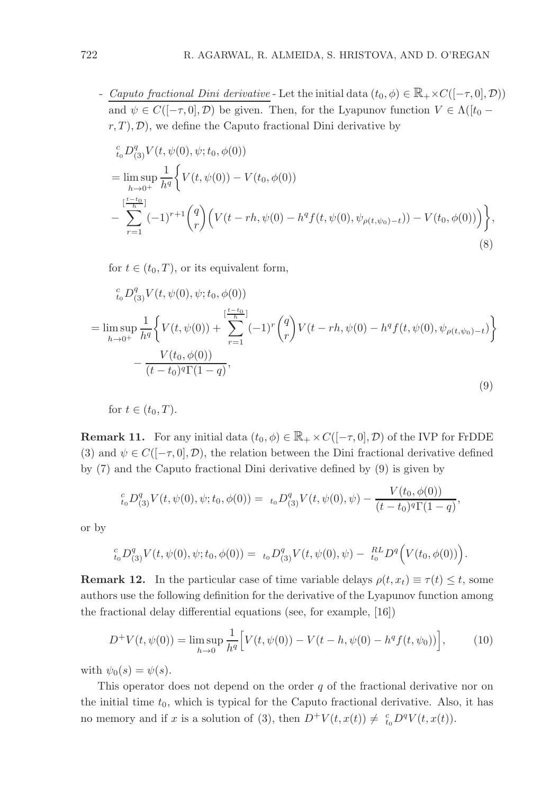- Caputo fractional Dini derivative - Let the initial data  $(t_0, \phi) \in \mathbb{R}_+ \times C([-\tau, 0], \mathcal{D})$ and  $\psi \in C([-{\tau},0],{\mathcal{D}})$  be given. Then, for the Lyapunov function  $V \in \Lambda([t_0$  $r, T$ ,  $\mathcal{D}$ , we define the Caputo fractional Dini derivative by

$$
{}_{t_{0}}^{c}D_{(3)}^{q}V(t, \psi(0), \psi; t_{0}, \phi(0))
$$
\n
$$
= \limsup_{h \to 0^{+}} \frac{1}{h^{q}} \Biggl\{ V(t, \psi(0)) - V(t_{0}, \phi(0))
$$
\n
$$
- \sum_{r=1}^{\lfloor \frac{t-t_{0}}{h} \rfloor} (-1)^{r+1} {q \choose r} \Biggl( V(t-rh, \psi(0) - h^{q}f(t, \psi(0), \psi_{\rho(t, \psi_{0})-t})) - V(t_{0}, \phi(0)) \Biggr) \Biggr\},
$$
\n(8)

for  $t \in (t_0, T)$ , or its equivalent form,

$$
\begin{split} & \frac{c}{t_0} D_{(3)}^q V(t, \psi(0), \psi; t_0, \phi(0)) \\ &= \limsup_{h \to 0^+} \frac{1}{h^q} \bigg\{ V(t, \psi(0)) + \sum_{r=1}^{\left[\frac{t-t_0}{h}\right]} (-1)^r \binom{q}{r} V(t-rh, \psi(0) - h^q f(t, \psi(0), \psi_{\rho(t, \psi_0) - t}) \bigg\} \\ &- \frac{V(t_0, \phi(0))}{(t-t_0)^q \Gamma(1-q)}, \end{split} \tag{9}
$$

for 
$$
t \in (t_0, T)
$$
.

**Remark 11.** For any initial data  $(t_0, \phi) \in \mathbb{R}_+ \times C([-\tau, 0], \mathcal{D})$  of the IVP for FrDDE (3) and  $\psi \in C([- \tau, 0], \mathcal{D})$ , the relation between the Dini fractional derivative defined by (7) and the Caputo fractional Dini derivative defined by (9) is given by

$$
{}_{t_0}^c D_{(3)}^q V(t, \psi(0), \psi; t_0, \phi(0)) = {}_{t_0}D_{(3)}^q V(t, \psi(0), \psi) - \frac{V(t_0, \phi(0))}{(t - t_0)^q \Gamma(1 - q)}
$$

,

or by

$$
{}_{t_0}^{c}D_{(3)}^qV(t,\psi(0),\psi;t_0,\phi(0)) = {}_{t_0}D_{(3)}^qV(t,\psi(0),\psi) - {}_{t_0}^{RL}D^q(V(t_0,\phi(0))).
$$

**Remark 12.** In the particular case of time variable delays  $\rho(t, x_t) \equiv \tau(t) \leq t$ , some authors use the following definition for the derivative of the Lyapunov function among the fractional delay differential equations (see, for example, [16])

$$
D^{+}V(t, \psi(0)) = \limsup_{h \to 0} \frac{1}{h^{q}} \Big[ V(t, \psi(0)) - V(t - h, \psi(0) - h^{q} f(t, \psi_{0})) \Big], \tag{10}
$$

with  $\psi_0(s) = \psi(s)$ .

This operator does not depend on the order  $q$  of the fractional derivative nor on the initial time  $t_0$ , which is typical for the Caputo fractional derivative. Also, it has no memory and if x is a solution of (3), then  $D^+V(t, x(t)) \neq \frac{c}{t_0}D^qV(t, x(t))$ .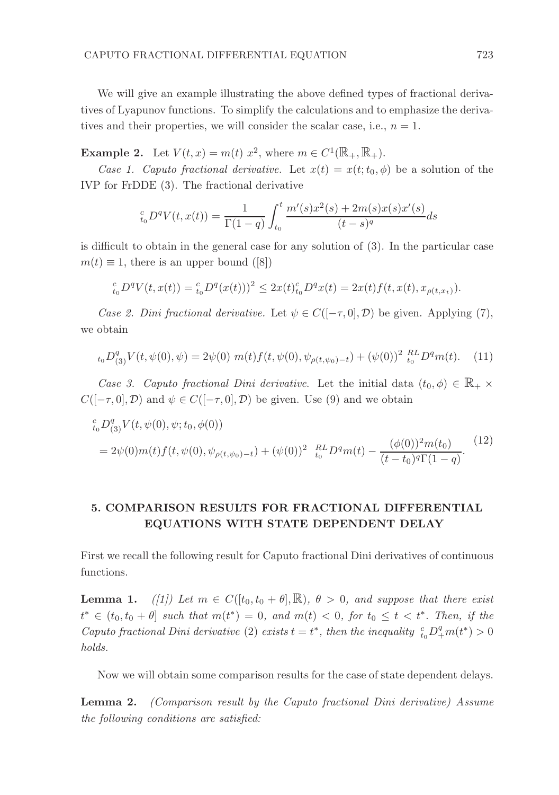We will give an example illustrating the above defined types of fractional derivatives of Lyapunov functions. To simplify the calculations and to emphasize the derivatives and their properties, we will consider the scalar case, i.e.,  $n = 1$ .

**Example 2.** Let  $V(t, x) = m(t) x^2$ , where  $m \in C^1(\mathbb{R}_+, \mathbb{R}_+).$ 

Case 1. Caputo fractional derivative. Let  $x(t) = x(t; t_0, \phi)$  be a solution of the IVP for FrDDE (3). The fractional derivative

$$
{}_{t_0}^c D^q V(t, x(t)) = \frac{1}{\Gamma(1-q)} \int_{t_0}^t \frac{m'(s)x^2(s) + 2m(s)x(s)x'(s)}{(t-s)^q} ds
$$

is difficult to obtain in the general case for any solution of (3). In the particular case  $m(t) \equiv 1$ , there is an upper bound ([8])

$$
{}_{t_0}^c D^q V(t, x(t)) = {}_{t_0}^c D^q (x(t)))^2 \leq 2x(t)_{t_0}^c D^q x(t) = 2x(t) f(t, x(t), x_{\rho(t, x_t)}).
$$

Case 2. Dini fractional derivative. Let  $\psi \in C([-\tau,0],\mathcal{D})$  be given. Applying (7), we obtain

$$
t_0 D_{(3)}^q V(t, \psi(0), \psi) = 2\psi(0) \; m(t) f(t, \psi(0), \psi_{\rho(t, \psi_0) - t}) + (\psi(0))^2 \;_{t_0}^{RL} D^q m(t). \tag{11}
$$

Case 3. Caputo fractional Dini derivative. Let the initial data  $(t_0, \phi) \in \mathbb{R}_+ \times$  $C([-τ, 0], \mathcal{D})$  and  $\psi \in C([-τ, 0], \mathcal{D})$  be given. Use (9) and we obtain

c <sup>t</sup>0D q (3)V (t, ψ(0), ψ;t0, φ(0)) = 2ψ(0)m(t)f(t, ψ(0), ψρ(t,ψ0)−<sup>t</sup>) + (ψ(0))<sup>2</sup> RL <sup>t</sup><sup>0</sup> <sup>D</sup>qm(t) <sup>−</sup> (φ(0))<sup>2</sup>m(t0) (t − t0) <sup>q</sup>Γ(1 − q) . (12)

## 5. COMPARISON RESULTS FOR FRACTIONAL DIFFERENTIAL EQUATIONS WITH STATE DEPENDENT DELAY

First we recall the following result for Caputo fractional Dini derivatives of continuous functions.

**Lemma 1.** ([1]) Let  $m \in C([t_0, t_0 + \theta], \mathbb{R})$ ,  $\theta > 0$ , and suppose that there exist  $t^* \in (t_0, t_0 + \theta]$  such that  $m(t^*) = 0$ , and  $m(t) < 0$ , for  $t_0 \le t < t^*$ . Then, if the Caputo fractional Dini derivative (2) exists  $t = t^*$ , then the inequality  $\frac{c}{t_0} D^q_+ m(t^*) > 0$ holds.

Now we will obtain some comparison results for the case of state dependent delays.

Lemma 2. (Comparison result by the Caputo fractional Dini derivative) Assume the following conditions are satisfied: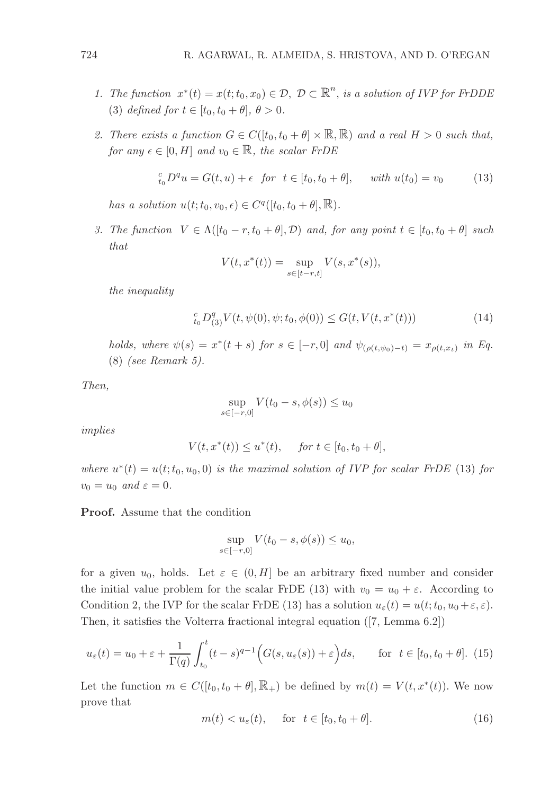- 1. The function  $x^*(t) = x(t; t_0, x_0) \in \mathcal{D}, \mathcal{D} \subset \mathbb{R}^n$ , is a solution of IVP for FrDDE (3) defined for  $t \in [t_0, t_0 + \theta], \theta > 0.$
- 2. There exists a function  $G \in C([t_0, t_0 + \theta] \times \mathbb{R}, \mathbb{R})$  and a real  $H > 0$  such that, for any  $\epsilon \in [0, H]$  and  $v_0 \in \mathbb{R}$ , the scalar FrDE

$$
{}_{t_0}^c D^q u = G(t, u) + \epsilon \text{ for } t \in [t_0, t_0 + \theta], \text{ with } u(t_0) = v_0 \tag{13}
$$

has a solution  $u(t; t_0, v_0, \epsilon) \in C^q([t_0, t_0 + \theta], \mathbb{R})$ .

3. The function  $V \in \Lambda([t_0 - r, t_0 + \theta], \mathcal{D})$  and, for any point  $t \in [t_0, t_0 + \theta]$  such that

$$
V(t, x^*(t)) = \sup_{s \in [t-r, t]} V(s, x^*(s)),
$$

the inequality

$$
_{t_{0}}^{c}D_{(3)}^{q}V(t,\psi(0),\psi;t_{0},\phi(0))\leq G(t,V(t,x^{\ast}(t)))\tag{14}
$$

holds, where  $\psi(s) = x^*(t + s)$  for  $s \in [-r, 0]$  and  $\psi_{(\rho(t, \psi_0) - t)} = x_{\rho(t, x_t)}$  in Eq. (8) (see Remark 5).

Then,

$$
\sup_{s \in [-r,0]} V(t_0 - s, \phi(s)) \le u_0
$$

implies

$$
V(t, x^*(t)) \le u^*(t)
$$
, for  $t \in [t_0, t_0 + \theta]$ ,

where  $u^*(t) = u(t; t_0, u_0, 0)$  is the maximal solution of IVP for scalar FrDE (13) for  $v_0 = u_0$  and  $\varepsilon = 0$ .

Proof. Assume that the condition

$$
\sup_{s \in [-r,0]} V(t_0 - s, \phi(s)) \le u_0,
$$

for a given  $u_0$ , holds. Let  $\varepsilon \in (0, H]$  be an arbitrary fixed number and consider the initial value problem for the scalar FrDE (13) with  $v_0 = u_0 + \varepsilon$ . According to Condition 2, the IVP for the scalar FrDE (13) has a solution  $u_{\varepsilon}(t) = u(t; t_0, u_0 + \varepsilon, \varepsilon)$ . Then, it satisfies the Volterra fractional integral equation ([7, Lemma 6.2])

$$
u_{\varepsilon}(t) = u_0 + \varepsilon + \frac{1}{\Gamma(q)} \int_{t_0}^t (t - s)^{q-1} \Big( G(s, u_{\varepsilon}(s)) + \varepsilon \Big) ds, \qquad \text{for } t \in [t_0, t_0 + \theta]. \tag{15}
$$

Let the function  $m \in C([t_0, t_0 + \theta], \mathbb{R}_+)$  be defined by  $m(t) = V(t, x^*(t))$ . We now prove that

$$
m(t) < u_{\varepsilon}(t), \quad \text{for} \quad t \in [t_0, t_0 + \theta]. \tag{16}
$$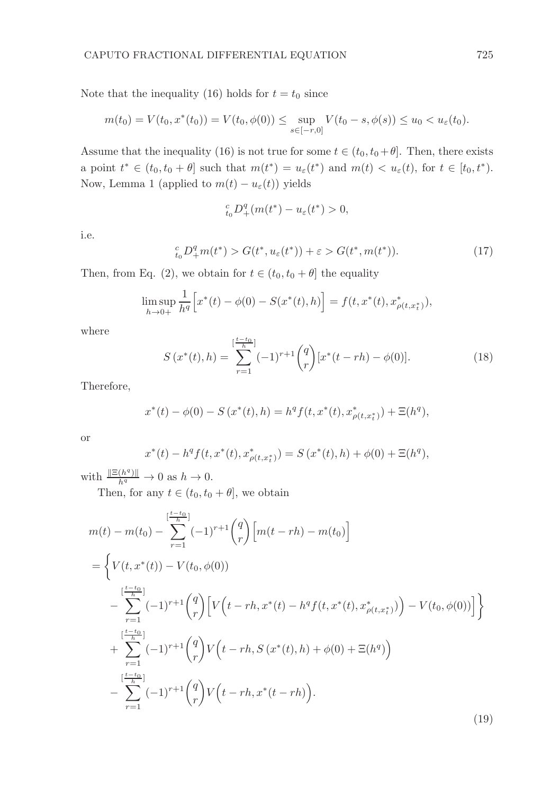Note that the inequality (16) holds for  $t = t_0$  since

$$
m(t_0) = V(t_0, x^*(t_0)) = V(t_0, \phi(0)) \le \sup_{s \in [-r, 0]} V(t_0 - s, \phi(s)) \le u_0 < u_{\varepsilon}(t_0).
$$

Assume that the inequality (16) is not true for some  $t \in (t_0, t_0 + \theta]$ . Then, there exists a point  $t^* \in (t_0, t_0 + \theta]$  such that  $m(t^*) = u_{\varepsilon}(t^*)$  and  $m(t) < u_{\varepsilon}(t)$ , for  $t \in [t_0, t^*)$ . Now, Lemma 1 (applied to  $m(t) - u_{\varepsilon}(t)$ ) yields

$$
_{t_{0}}^{c}D_{+}^{q}(m(t^{\ast})-u_{\varepsilon}(t^{\ast})>0,
$$

i.e.

$$
{}_{t_0}^c D_+^q m(t^*) > G(t^*, u_\varepsilon(t^*)) + \varepsilon > G(t^*, m(t^*)). \tag{17}
$$

Then, from Eq. (2), we obtain for  $t \in (t_0, t_0 + \theta]$  the equality

$$
\limsup_{h \to 0+} \frac{1}{h^q} \Big[ x^*(t) - \phi(0) - S(x^*(t), h) \Big] = f(t, x^*(t), x^*_{\rho(t, x^*_t)}),
$$

where

$$
S(x^*(t),h) = \sum_{r=1}^{\lfloor \frac{t-t_0}{h} \rfloor} (-1)^{r+1} {q \choose r} [x^*(t-rh) - \phi(0)].
$$
 (18)

Therefore,

$$
x^*(t) - \phi(0) - S(x^*(t), h) = h^q f(t, x^*(t), x^*_{\rho(t, x^*_t)}) + \Xi(h^q),
$$

or

$$
x^*(t) - h^q f(t, x^*(t), x^*_{\rho(t, x^*_t)}) = S(x^*(t), h) + \phi(0) + \Xi(h^q),
$$

with  $\frac{\|\Xi(h^q)\|}{h^q} \to 0$  as  $h \to 0$ .

Then, for any  $t \in (t_0, t_0 + \theta]$ , we obtain

$$
m(t) - m(t_0) - \sum_{r=1}^{\left[\frac{t-t_0}{h}\right]} (-1)^{r+1} {q \choose r} \left[ m(t - rh) - m(t_0) \right]
$$
  
\n
$$
= \left\{ V(t, x^*(t)) - V(t_0, \phi(0)) - \sum_{r=1}^{\left[\frac{t-t_0}{h}\right]} (-1)^{r+1} {q \choose r} \left[ V(t - rh, x^*(t) - h^q f(t, x^*(t), x^*_{\rho(t, x^*)) \right) - V(t_0, \phi(0)) \right] \right\}
$$
  
\n
$$
+ \sum_{r=1}^{\left[\frac{t-t_0}{h}\right]} (-1)^{r+1} {q \choose r} V(t - rh, S(x^*(t), h) + \phi(0) + \Xi(h^q)) - \sum_{r=1}^{\left[\frac{t-t_0}{h}\right]} (-1)^{r+1} {q \choose r} V(t - rh, x^*(t - rh)).
$$
\n(19)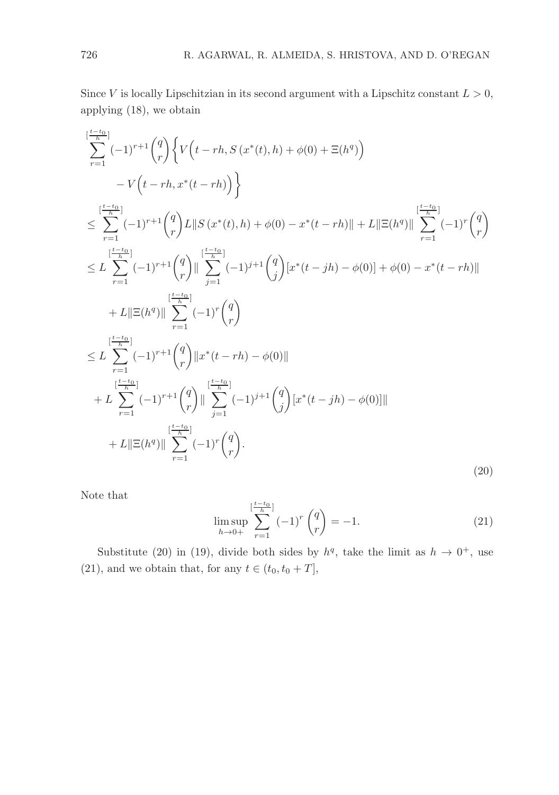Since V is locally Lipschitzian in its second argument with a Lipschitz constant  $L > 0$ , applying (18), we obtain

$$
\sum_{r=1}^{\lfloor \frac{t-t_0}{h} \rfloor} (-1)^{r+1} {q \choose r} \Big\{ V(t-rh, S(x^*(t), h) + \phi(0) + \Xi(h^q))
$$
\n
$$
- V(t-rh, x^*(t-rh)) \Big\}
$$
\n
$$
\leq \sum_{r=1}^{\lfloor \frac{t-t_0}{h} \rfloor} (-1)^{r+1} {q \choose r} L \| S(x^*(t), h) + \phi(0) - x^*(t-rh) \| + L \| \Xi(h^q) \| \sum_{r=1}^{\lfloor \frac{t-t_0}{h} \rfloor} (-1)^r {q \choose r}
$$
\n
$$
\leq L \sum_{r=1}^{\lfloor \frac{t-t_0}{h} \rfloor} (-1)^{r+1} {q \choose r} \| \sum_{j=1}^{\lfloor \frac{t-t_0}{h} \rfloor} (-1)^{j+1} {q \choose j} [x^*(t-jh) - \phi(0)] + \phi(0) - x^*(t-rh) \|
$$
\n
$$
+ L \| \Xi(h^q) \| \sum_{r=1}^{\lfloor \frac{t-t_0}{h} \rfloor} (-1)^r {q \choose r}
$$
\n
$$
\leq L \sum_{r=1}^{\lfloor \frac{t-t_0}{h} \rfloor} (-1)^{r+1} {q \choose r} \| x^*(t-rh) - \phi(0) \|
$$
\n
$$
+ L \sum_{r=1}^{\lfloor \frac{t-t_0}{h} \rfloor} (-1)^{r+1} {q \choose r} \| \sum_{j=1}^{\lfloor \frac{t-t_0}{h} \rfloor} (-1)^{j+1} {q \choose j} [x^*(t-jh) - \phi(0)] \|
$$
\n
$$
+ L \| \Xi(h^q) \| \sum_{r=1}^{\lfloor \frac{t-t_0}{h} \rfloor} (-1)^r {q \choose r}.
$$
\n(20)

Note that

$$
\limsup_{h \to 0+} \sum_{r=1}^{\left[\frac{t-t_0}{h}\right]} (-1)^r \binom{q}{r} = -1.
$$
\n(21)

Substitute (20) in (19), divide both sides by  $h<sup>q</sup>$ , take the limit as  $h \to 0<sup>+</sup>$ , use (21), and we obtain that, for any  $t \in (t_0, t_0 + T]$ ,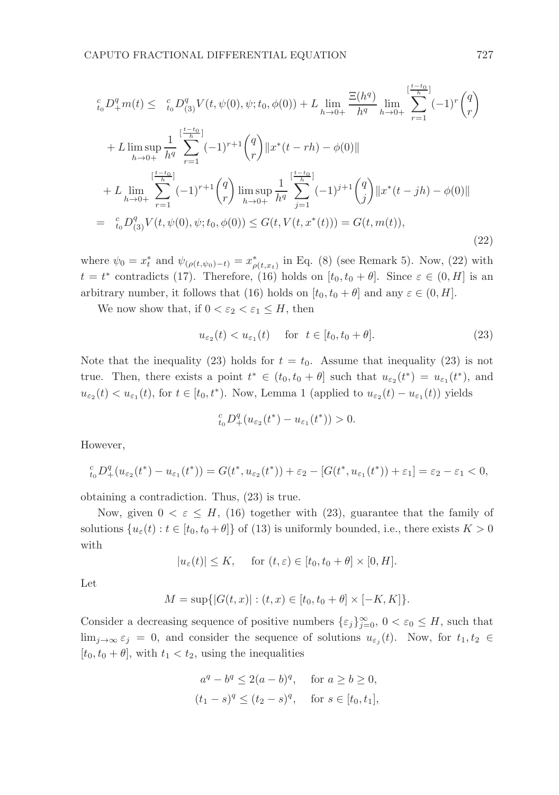$$
{}_{t_{0}}^{c}D_{+}^{q}m(t) \leq {}_{t_{0}}^{c}D_{(3)}^{q}V(t,\psi(0),\psi;t_{0},\phi(0)) + L \lim_{h \to 0+} \frac{\Xi(h^{q})}{h^{q}} \lim_{h \to 0+} \sum_{r=1}^{\left[\frac{t-t_{0}}{h}\right]} (-1)^{r} {q \choose r} + L \lim_{h \to 0+} \sup_{h \neq 0} \frac{1}{h^{q}} \sum_{r=1}^{\left[\frac{t-t_{0}}{h}\right]} (-1)^{r+1} {q \choose r} ||x^{*}(t-rh) - \phi(0)|| + L \lim_{h \to 0+} \sum_{r=1}^{\left[\frac{t-t_{0}}{h}\right]} (-1)^{r+1} {q \choose r} \limsup_{h \to 0+} \frac{1}{h^{q}} \sum_{j=1}^{\left[\frac{t-t_{0}}{h}\right]} (-1)^{j+1} {q \choose j} ||x^{*}(t-jh) - \phi(0)|| = {}_{t_{0}}^{c}D_{(3)}^{q}V(t,\psi(0),\psi;t_{0},\phi(0)) \leq G(t,V(t,x^{*}(t))) = G(t,m(t)),
$$
\n(22)

where  $\psi_0 = x_t^*$  and  $\psi_{(\rho(t,\psi_0)-t)} = x_{\rho(t,x_t)}^*$  in Eq. (8) (see Remark 5). Now, (22) with  $t = t^*$  contradicts (17). Therefore, (16) holds on  $[t_0, t_0 + \theta]$ . Since  $\varepsilon \in (0, H]$  is an arbitrary number, it follows that (16) holds on  $[t_0, t_0 + \theta]$  and any  $\varepsilon \in (0, H]$ .

We now show that, if  $0 < \varepsilon_2 < \varepsilon_1 \leq H$ , then

$$
u_{\varepsilon_2}(t) < u_{\varepsilon_1}(t) \quad \text{for} \quad t \in [t_0, t_0 + \theta]. \tag{23}
$$

Note that the inequality (23) holds for  $t = t_0$ . Assume that inequality (23) is not true. Then, there exists a point  $t^* \in (t_0, t_0 + \theta]$  such that  $u_{\varepsilon_2}(t^*) = u_{\varepsilon_1}(t^*)$ , and  $u_{\varepsilon_2}(t) < u_{\varepsilon_1}(t)$ , for  $t \in [t_0, t^*)$ . Now, Lemma 1 (applied to  $u_{\varepsilon_2}(t) - u_{\varepsilon_1}(t)$ ) yields

$$
_{t_0}^c D^q_+(u_{\varepsilon_2}(t^*)-u_{\varepsilon_1}(t^*))>0.
$$

However,

$$
{}_{t_0}^c D_+^q (u_{\varepsilon_2}(t^*) - u_{\varepsilon_1}(t^*)) = G(t^*, u_{\varepsilon_2}(t^*)) + \varepsilon_2 - [G(t^*, u_{\varepsilon_1}(t^*)) + \varepsilon_1] = \varepsilon_2 - \varepsilon_1 < 0,
$$

obtaining a contradiction. Thus, (23) is true.

Now, given  $0 < \varepsilon \leq H$ , (16) together with (23), guarantee that the family of solutions  $\{u_{\varepsilon}(t): t \in [t_0, t_0 + \theta] \}$  of (13) is uniformly bounded, i.e., there exists  $K > 0$ with

 $|u_{\varepsilon}(t)| \leq K$ , for  $(t, \varepsilon) \in [t_0, t_0 + \theta] \times [0, H].$ 

Let

$$
M = \sup\{|G(t, x)| : (t, x) \in [t_0, t_0 + \theta] \times [-K, K] \}.
$$

Consider a decreasing sequence of positive numbers  $\{\varepsilon_j\}_{j=0}^{\infty}$ ,  $0 < \varepsilon_0 \leq H$ , such that  $\lim_{j\to\infty} \varepsilon_j = 0$ , and consider the sequence of solutions  $u_{\varepsilon_j}(t)$ . Now, for  $t_1, t_2 \in$  $[t_0, t_0 + \theta]$ , with  $t_1 < t_2$ , using the inequalities

$$
a^{q} - b^{q} \leq 2(a - b)^{q}
$$
, for  $a \geq b \geq 0$ ,  
\n $(t_{1} - s)^{q} \leq (t_{2} - s)^{q}$ , for  $s \in [t_{0}, t_{1}]$ ,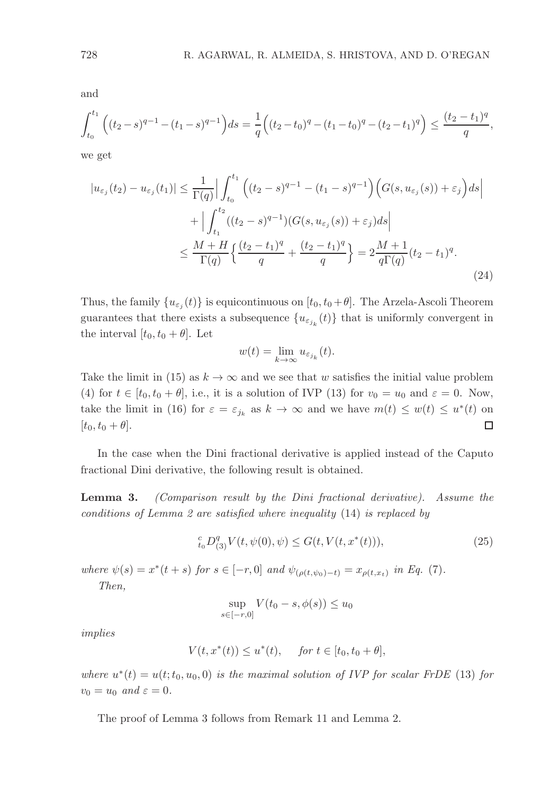and

$$
\int_{t_0}^{t_1} \left( (t_2 - s)^{q-1} - (t_1 - s)^{q-1} \right) ds = \frac{1}{q} \left( (t_2 - t_0)^q - (t_1 - t_0)^q - (t_2 - t_1)^q \right) \le \frac{(t_2 - t_1)^q}{q},
$$

we get

$$
|u_{\varepsilon_j}(t_2) - u_{\varepsilon_j}(t_1)| \leq \frac{1}{\Gamma(q)} \Big| \int_{t_0}^{t_1} \Big( (t_2 - s)^{q-1} - (t_1 - s)^{q-1} \Big) \Big( G(s, u_{\varepsilon_j}(s)) + \varepsilon_j \Big) ds \Big|
$$
  
+ 
$$
\Big| \int_{t_1}^{t_2} ((t_2 - s)^{q-1}) (G(s, u_{\varepsilon_j}(s)) + \varepsilon_j) ds \Big|
$$
  

$$
\leq \frac{M + H}{\Gamma(q)} \Big\{ \frac{(t_2 - t_1)^q}{q} + \frac{(t_2 - t_1)^q}{q} \Big\} = 2 \frac{M + 1}{q \Gamma(q)} (t_2 - t_1)^q.
$$
 (24)

Thus, the family  $\{u_{\varepsilon_j}(t)\}\$ is equicontinuous on  $[t_0, t_0 + \theta]$ . The Arzela-Ascoli Theorem guarantees that there exists a subsequence  ${u_{\varepsilon_{j_k}}(t)}$  that is uniformly convergent in the interval  $[t_0, t_0 + \theta]$ . Let

$$
w(t) = \lim_{k \to \infty} u_{\varepsilon_{j_k}}(t).
$$

Take the limit in (15) as  $k \to \infty$  and we see that w satisfies the initial value problem (4) for  $t \in [t_0, t_0 + \theta]$ , i.e., it is a solution of IVP (13) for  $v_0 = u_0$  and  $\varepsilon = 0$ . Now, take the limit in (16) for  $\varepsilon = \varepsilon_{j_k}$  as  $k \to \infty$  and we have  $m(t) \leq w(t) \leq u^*(t)$  on  $[t_0, t_0 + \theta]$ .  $\Box$ 

In the case when the Dini fractional derivative is applied instead of the Caputo fractional Dini derivative, the following result is obtained.

Lemma 3. (Comparison result by the Dini fractional derivative). Assume the conditions of Lemma 2 are satisfied where inequality (14) is replaced by

$$
{}_{t_0}^c D_{(3)}^q V(t, \psi(0), \psi) \le G(t, V(t, x^*(t))), \tag{25}
$$

where  $\psi(s) = x^*(t + s)$  for  $s \in [-r, 0]$  and  $\psi_{(\rho(t, \psi_0) - t)} = x_{\rho(t, x_t)}$  in Eq. (7).

Then,

$$
\sup_{s \in [-r,0]} V(t_0 - s, \phi(s)) \le u_0
$$

implies

$$
V(t, x^*(t)) \le u^*(t), \quad \text{ for } t \in [t_0, t_0 + \theta],
$$

where  $u^*(t) = u(t; t_0, u_0, 0)$  is the maximal solution of IVP for scalar FrDE (13) for  $v_0 = u_0$  and  $\varepsilon = 0$ .

The proof of Lemma 3 follows from Remark 11 and Lemma 2.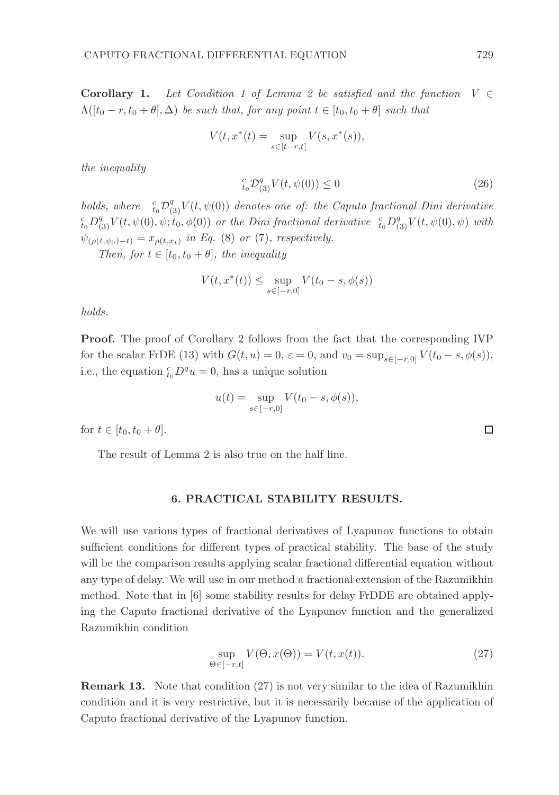Corollary 1. Let Condition 1 of Lemma 2 be satisfied and the function  $V \in$  $\Lambda([t_0 - r, t_0 + \theta], \Delta)$  be such that, for any point  $t \in [t_0, t_0 + \theta]$  such that

$$
V(t, x^*(t) = \sup_{s \in [t-r,t]} V(s, x^*(s)),
$$

the inequality

$$
{}_{t_0}^{c} \mathcal{D}_{(3)}^q V(t, \psi(0)) \le 0 \tag{26}
$$

holds, where  $\int_{t_0}^c \mathcal{D}_{(3)}^q V(t, \psi(0))$  denotes one of: the Caputo fractional Dini derivative  ${}_{t_0}^{c}D_{(3)}^qV(t,\psi(0),\psi;\stackrel{\cdot}{t}_0,\phi(0))$  or the Dini fractional derivative  ${}_{t_0}^{c}D_{(3)}^qV(t,\psi(0),\psi)$  with  $\psi_{(\rho(t,\psi_0)-t)}=x_{\rho(t,x_t)}$  in Eq. (8) or (7), respectively.

Then, for  $t \in [t_0, t_0 + \theta]$ , the inequality

$$
V(t, x^*(t)) \le \sup_{s \in [-r, 0]} V(t_0 - s, \phi(s))
$$

holds.

**Proof.** The proof of Corollary 2 follows from the fact that the corresponding IVP for the scalar FrDE (13) with  $G(t, u) = 0$ ,  $\varepsilon = 0$ , and  $v_0 = \sup_{s \in [-r, 0]} V(t_0 - s, \phi(s))$ , i.e., the equation  ${}_{t_0}^c D^q u = 0$ , has a unique solution

$$
u(t) = \sup_{s \in [-r,0]} V(t_0 - s, \phi(s)),
$$

for  $t \in [t_0, t_0 + \theta]$ .

The result of Lemma 2 is also true on the half line.

### 6. PRACTICAL STABILITY RESULTS.

We will use various types of fractional derivatives of Lyapunov functions to obtain sufficient conditions for different types of practical stability. The base of the study will be the comparison results applying scalar fractional differential equation without any type of delay. We will use in our method a fractional extension of the Razumikhin method. Note that in [6] some stability results for delay FrDDE are obtained applying the Caputo fractional derivative of the Lyapunov function and the generalized Razumikhin condition

$$
\sup_{\Theta \in [-r,t]} V(\Theta, x(\Theta)) = V(t, x(t)).
$$
\n(27)

Remark 13. Note that condition (27) is not very similar to the idea of Razumikhin condition and it is very restrictive, but it is necessarily because of the application of Caputo fractional derivative of the Lyapunov function.

 $\Box$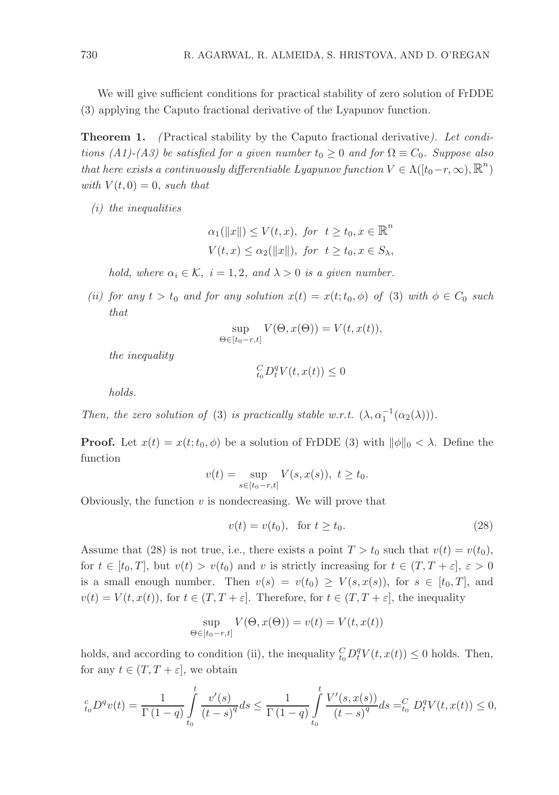We will give sufficient conditions for practical stability of zero solution of FrDDE (3) applying the Caputo fractional derivative of the Lyapunov function.

**Theorem 1.** (Practical stability by the Caputo fractional derivative). Let conditions (A1)-(A3) be satisfied for a given number  $t_0 \geq 0$  and for  $\Omega \equiv C_0$ . Suppose also that here exists a continuously differentiable Lyapunov function  $V \in \Lambda([t_0-r,\infty),\mathbb{R}^n)$ with  $V(t, 0) = 0$ , such that

(i) the inequalities

$$
\alpha_1(||x||) \le V(t, x), \text{ for } t \ge t_0, x \in \mathbb{R}^n
$$
  

$$
V(t, x) \le \alpha_2(||x||), \text{ for } t \ge t_0, x \in S_\lambda,
$$

hold, where  $\alpha_i \in \mathcal{K}$ ,  $i = 1, 2$ , and  $\lambda > 0$  is a given number.

(ii) for any  $t > t_0$  and for any solution  $x(t) = x(t; t_0, \phi)$  of (3) with  $\phi \in C_0$  such that

$$
\sup_{\Theta \in [t_0 - r, t]} V(\Theta, x(\Theta)) = V(t, x(t)),
$$

the inequality

$$
_{t_{0}}^{C}D_{t}^{q}V(t,x(t))\leq0
$$

holds.

Then, the zero solution of (3) is practically stable w.r.t.  $(\lambda, \alpha_1^{-1}(\alpha_2(\lambda)))$ .

**Proof.** Let  $x(t) = x(t; t_0, \phi)$  be a solution of FrDDE (3) with  $\|\phi\|_0 < \lambda$ . Define the function

$$
v(t) = \sup_{s \in [t_0 - r, t]} V(s, x(s)), \ t \ge t_0.
$$

Obviously, the function  $v$  is nondecreasing. We will prove that

$$
v(t) = v(t_0), \quad \text{for } t \ge t_0. \tag{28}
$$

Assume that (28) is not true, i.e., there exists a point  $T > t_0$  such that  $v(t) = v(t_0)$ , for  $t \in [t_0, T]$ , but  $v(t) > v(t_0)$  and v is strictly increasing for  $t \in (T, T + \varepsilon], \varepsilon > 0$ is a small enough number. Then  $v(s) = v(t_0) \ge V(s, x(s))$ , for  $s \in [t_0, T]$ , and  $v(t) = V(t, x(t))$ , for  $t \in (T, T + \varepsilon]$ . Therefore, for  $t \in (T, T + \varepsilon]$ , the inequality

$$
\sup_{\Theta \in [t_0 - r, t]} V(\Theta, x(\Theta)) = v(t) = V(t, x(t))
$$

holds, and according to condition (ii), the inequality  ${}_{t_0}^C D_t^q V(t, x(t)) \leq 0$  holds. Then, for any  $t \in (T, T + \varepsilon]$ , we obtain

$$
{}_{t_0}^c D^q v(t) = \frac{1}{\Gamma(1-q)} \int_{t_0}^t \frac{v'(s)}{(t-s)^q} ds \le \frac{1}{\Gamma(1-q)} \int_{t_0}^t \frac{V'(s, x(s))}{(t-s)^q} ds = {}_{t_0}^C D_t^q V(t, x(t)) \le 0,
$$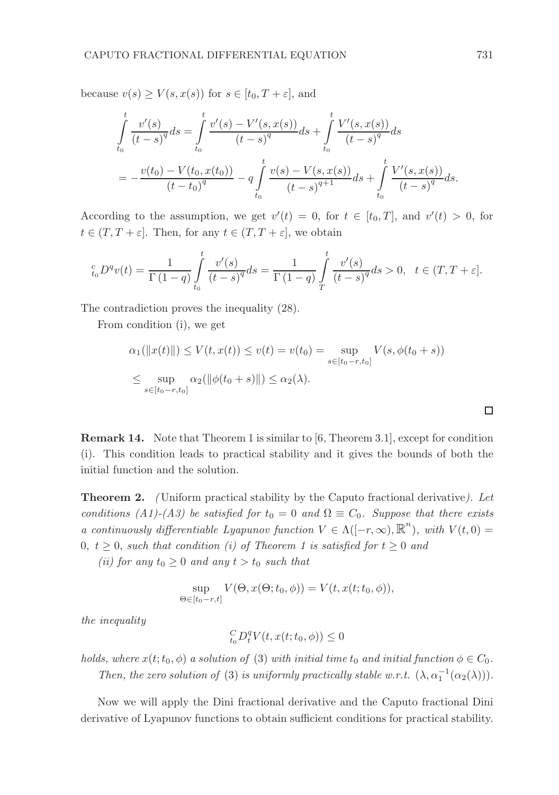because  $v(s) \ge V(s, x(s))$  for  $s \in [t_0, T + \varepsilon]$ , and

$$
\int_{t_0}^t \frac{v'(s)}{(t-s)^q} ds = \int_{t_0}^t \frac{v'(s) - V'(s, x(s))}{(t-s)^q} ds + \int_{t_0}^t \frac{V'(s, x(s))}{(t-s)^q} ds
$$
\n
$$
= -\frac{v(t_0) - V(t_0, x(t_0))}{(t-t_0)^q} - q \int_{t_0}^t \frac{v(s) - V(s, x(s))}{(t-s)^{q+1}} ds + \int_{t_0}^t \frac{V'(s, x(s))}{(t-s)^q} ds.
$$

According to the assumption, we get  $v'(t) = 0$ , for  $t \in [t_0, T]$ , and  $v'(t) > 0$ , for  $t \in (T, T + \varepsilon]$ . Then, for any  $t \in (T, T + \varepsilon]$ , we obtain

$$
{}_{t_0}^c D^qv(t)=\frac{1}{\Gamma(1-q)}\int\limits_{t_0}^t \frac{v'(s)}{(t-s)^q}ds=\frac{1}{\Gamma(1-q)}\int\limits_T^t \frac{v'(s)}{(t-s)^q}ds>0,\ \ t\in (T,T+\varepsilon].
$$

The contradiction proves the inequality (28).

From condition (i), we get

$$
\alpha_1(||x(t)||) \le V(t, x(t)) \le v(t) = v(t_0) = \sup_{s \in [t_0 - r, t_0]} V(s, \phi(t_0 + s))
$$
  

$$
\le \sup_{s \in [t_0 - r, t_0]} \alpha_2(||\phi(t_0 + s)||) \le \alpha_2(\lambda).
$$

Remark 14. Note that Theorem 1 is similar to [6, Theorem 3.1], except for condition (i). This condition leads to practical stability and it gives the bounds of both the initial function and the solution.

Theorem 2. ( Uniform practical stability by the Caputo fractional derivative). Let conditions (A1)-(A3) be satisfied for  $t_0 = 0$  and  $\Omega \equiv C_0$ . Suppose that there exists a continuously differentiable Lyapunov function  $V \in \Lambda([-r,\infty),\mathbb{R}^n)$ , with  $V(t,0) =$ 0,  $t \geq 0$ , such that condition (i) of Theorem 1 is satisfied for  $t \geq 0$  and

(ii) for any  $t_0 \geq 0$  and any  $t > t_0$  such that

$$
\sup_{\Theta \in [t_0 - r, t]} V(\Theta, x(\Theta; t_0, \phi)) = V(t, x(t; t_0, \phi)),
$$

the inequality

$$
_{t_{0}}^{C}D_{t}^{q}V(t,x(t;t_{0},\phi))\leq0
$$

holds, where  $x(t; t_0, \phi)$  a solution of (3) with initial time  $t_0$  and initial function  $\phi \in C_0$ . Then, the zero solution of (3) is uniformly practically stable w.r.t.  $(\lambda, \alpha_1^{-1}(\alpha_2(\lambda)))$ .

Now we will apply the Dini fractional derivative and the Caputo fractional Dini derivative of Lyapunov functions to obtain sufficient conditions for practical stability.

 $\Box$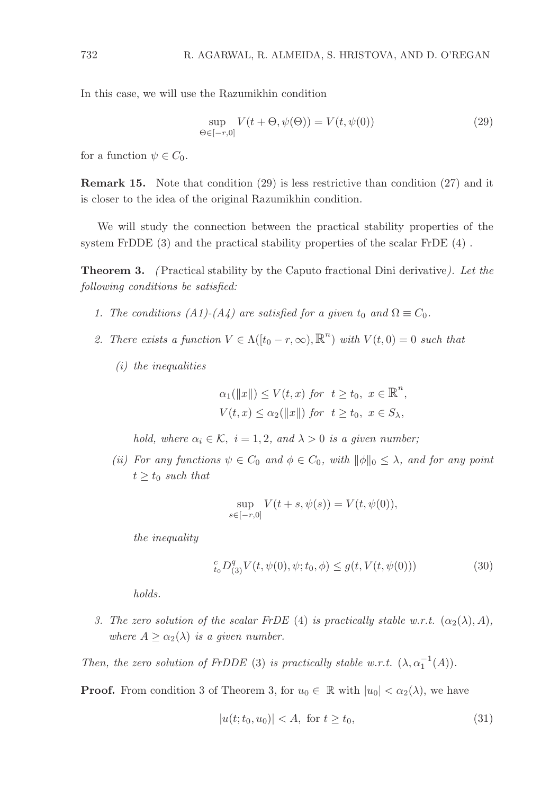In this case, we will use the Razumikhin condition

$$
\sup_{\Theta \in [-r,0]} V(t + \Theta, \psi(\Theta)) = V(t, \psi(0))
$$
\n(29)

for a function  $\psi \in C_0$ .

Remark 15. Note that condition (29) is less restrictive than condition (27) and it is closer to the idea of the original Razumikhin condition.

We will study the connection between the practical stability properties of the system FrDDE (3) and the practical stability properties of the scalar FrDE (4) .

Theorem 3. (Practical stability by the Caputo fractional Dini derivative). Let the following conditions be satisfied:

- 1. The conditions (A1)-(A4) are satisfied for a given  $t_0$  and  $\Omega \equiv C_0$ .
- 2. There exists a function  $V \in \Lambda([t_0 r, \infty), \mathbb{R}^n)$  with  $V(t, 0) = 0$  such that
	- (i) the inequalities

$$
\alpha_1(||x||) \le V(t, x) \text{ for } t \ge t_0, x \in \mathbb{R}^n,
$$
  

$$
V(t, x) \le \alpha_2(||x||) \text{ for } t \ge t_0, x \in S_\lambda,
$$

hold, where  $\alpha_i \in \mathcal{K}$ ,  $i = 1, 2$ , and  $\lambda > 0$  is a given number;

(ii) For any functions  $\psi \in C_0$  and  $\phi \in C_0$ , with  $\|\phi\|_0 \leq \lambda$ , and for any point  $t \geq t_0$  such that

$$
\sup_{s \in [-r,0]} V(t+s, \psi(s)) = V(t, \psi(0)),
$$

the inequality

$$
_{t_{0}}^{c}D_{(3)}^{q}V(t,\psi(0),\psi;t_{0},\phi)\leq g(t,V(t,\psi(0)))\tag{30}
$$

holds.

3. The zero solution of the scalar FrDE (4) is practically stable w.r.t.  $(\alpha_2(\lambda), A)$ , where  $A \geq \alpha_2(\lambda)$  is a given number.

Then, the zero solution of FrDDE (3) is practically stable w.r.t.  $(\lambda, \alpha_1^{-1}(A))$ .

**Proof.** From condition 3 of Theorem 3, for  $u_0 \in \mathbb{R}$  with  $|u_0| < \alpha_2(\lambda)$ , we have

$$
|u(t; t_0, u_0)| < A, \text{ for } t \ge t_0,
$$
\n(31)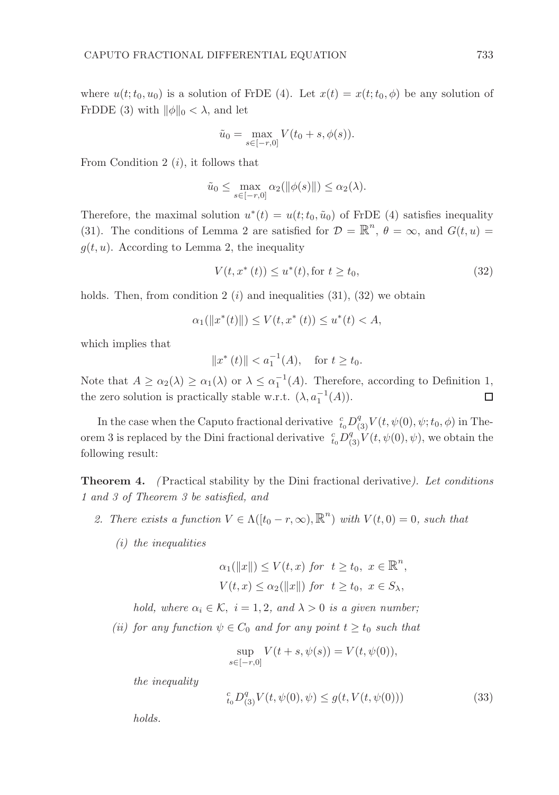where  $u(t; t_0, u_0)$  is a solution of FrDE (4). Let  $x(t) = x(t; t_0, \phi)$  be any solution of FrDDE (3) with  $\|\phi\|_0 < \lambda$ , and let

$$
\tilde{u}_0 = \max_{s \in [-r,0]} V(t_0 + s, \phi(s)).
$$

From Condition 2  $(i)$ , it follows that

$$
\tilde{u}_0 \le \max_{s \in [-r,0]} \alpha_2(||\phi(s)||) \le \alpha_2(\lambda).
$$

Therefore, the maximal solution  $u^*(t) = u(t; t_0, \tilde{u}_0)$  of FrDE (4) satisfies inequality (31). The conditions of Lemma 2 are satisfied for  $\mathcal{D} = \mathbb{R}^n$ ,  $\theta = \infty$ , and  $G(t, u) =$  $g(t, u)$ . According to Lemma 2, the inequality

$$
V(t, x^*(t)) \le u^*(t), \text{for } t \ge t_0,
$$
\n(32)

holds. Then, from condition 2  $(i)$  and inequalities (31), (32) we obtain

$$
\alpha_1(||x^*(t)||) \le V(t, x^*(t)) \le u^*(t) < A,
$$

which implies that

 $||x^*(t)|| < a_1^{-1}(A)$ , for  $t \ge t_0$ .

Note that  $A \ge \alpha_2(\lambda) \ge \alpha_1(\lambda)$  or  $\lambda \le \alpha_1^{-1}(A)$ . Therefore, according to Definition 1, the zero solution is practically stable w.r.t.  $(\lambda, a_1^{-1}(A))$ .  $\Box$ 

In the case when the Caputo fractional derivative  $c_{t_0}^c D_{(3)}^q V(t, \psi(0), \psi; t_0, \phi)$  in Theorem 3 is replaced by the Dini fractional derivative  $\frac{c}{t_0}D_{(3)}^q V(t, \psi(0), \psi)$ , we obtain the following result:

Theorem 4. (Practical stability by the Dini fractional derivative). Let conditions 1 and 3 of Theorem 3 be satisfied, and

- 2. There exists a function  $V \in \Lambda([t_0 r, \infty), \mathbb{R}^n)$  with  $V(t, 0) = 0$ , such that
	- (i) the inequalities

$$
\alpha_1(\|x\|) \le V(t, x) \text{ for } t \ge t_0, x \in \mathbb{R}^n,
$$
  

$$
V(t, x) \le \alpha_2(\|x\|) \text{ for } t \ge t_0, x \in S_\lambda,
$$

hold, where  $\alpha_i \in \mathcal{K}$ ,  $i = 1, 2$ , and  $\lambda > 0$  is a given number;

(ii) for any function  $\psi \in C_0$  and for any point  $t \geq t_0$  such that

$$
\sup_{s \in [-r,0]} V(t+s, \psi(s)) = V(t, \psi(0)),
$$

the inequality

$$
{}_{t_0}^c D_{(3)}^q V(t, \psi(0), \psi) \le g(t, V(t, \psi(0)))
$$
\n(33)

holds.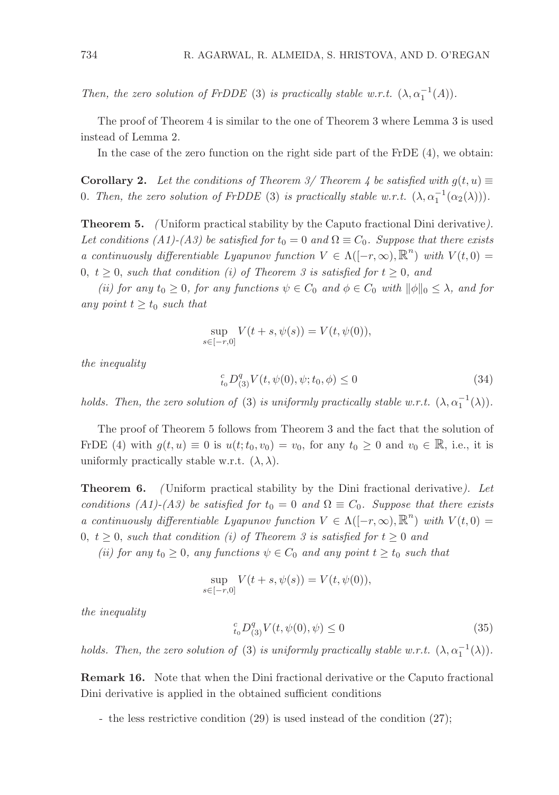Then, the zero solution of FrDDE (3) is practically stable w.r.t.  $(\lambda, \alpha_1^{-1}(A))$ .

The proof of Theorem 4 is similar to the one of Theorem 3 where Lemma 3 is used instead of Lemma 2.

In the case of the zero function on the right side part of the FrDE (4), we obtain:

**Corollary 2.** Let the conditions of Theorem 3/ Theorem 4 be satisfied with  $g(t, u) \equiv$ 0. Then, the zero solution of FrDDE (3) is practically stable w.r.t.  $(\lambda, \alpha_1^{-1}(\alpha_2(\lambda)))$ .

Theorem 5. ( Uniform practical stability by the Caputo fractional Dini derivative). Let conditions (A1)-(A3) be satisfied for  $t_0 = 0$  and  $\Omega \equiv C_0$ . Suppose that there exists a continuously differentiable Lyapunov function  $V \in \Lambda([-r,\infty),\mathbb{R}^n)$  with  $V(t,0) =$ 0,  $t \geq 0$ , such that condition (i) of Theorem 3 is satisfied for  $t \geq 0$ , and

(ii) for any  $t_0 \geq 0$ , for any functions  $\psi \in C_0$  and  $\phi \in C_0$  with  $\|\phi\|_0 \leq \lambda$ , and for any point  $t \geq t_0$  such that

$$
\sup_{s \in [-r,0]} V(t+s, \psi(s)) = V(t, \psi(0)),
$$

the inequality

$$
{}_{t_0}^c D_{(3)}^q V(t, \psi(0), \psi; t_0, \phi) \le 0 \tag{34}
$$

holds. Then, the zero solution of (3) is uniformly practically stable w.r.t.  $(\lambda, \alpha_1^{-1}(\lambda))$ .

The proof of Theorem 5 follows from Theorem 3 and the fact that the solution of FrDE (4) with  $g(t, u) \equiv 0$  is  $u(t; t_0, v_0) = v_0$ , for any  $t_0 \geq 0$  and  $v_0 \in \mathbb{R}$ , i.e., it is uniformly practically stable w.r.t.  $(\lambda, \lambda)$ .

**Theorem 6.** (Uniform practical stability by the Dini fractional derivative). Let conditions (A1)-(A3) be satisfied for  $t_0 = 0$  and  $\Omega \equiv C_0$ . Suppose that there exists a continuously differentiable Lyapunov function  $V \in \Lambda([-r,\infty),\mathbb{R}^n)$  with  $V(t,0) =$ 0,  $t \geq 0$ , such that condition (i) of Theorem 3 is satisfied for  $t \geq 0$  and

(ii) for any  $t_0 \geq 0$ , any functions  $\psi \in C_0$  and any point  $t \geq t_0$  such that

$$
\sup_{s \in [-r,0]} V(t+s, \psi(s)) = V(t, \psi(0)),
$$

the inequality

$$
{}_{t_0}^c D_{(3)}^q V(t, \psi(0), \psi) \le 0 \tag{35}
$$

holds. Then, the zero solution of (3) is uniformly practically stable w.r.t.  $(\lambda, \alpha_1^{-1}(\lambda))$ .

Remark 16. Note that when the Dini fractional derivative or the Caputo fractional Dini derivative is applied in the obtained sufficient conditions

- the less restrictive condition (29) is used instead of the condition (27);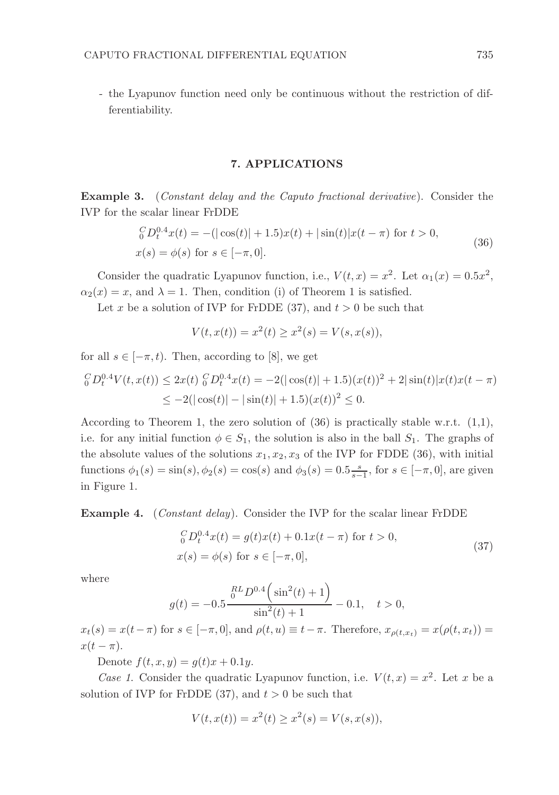- the Lyapunov function need only be continuous without the restriction of differentiability.

#### 7. APPLICATIONS

Example 3. (Constant delay and the Caputo fractional derivative). Consider the IVP for the scalar linear FrDDE

$$
\begin{aligned} \ _{0}^{C}D_{t}^{0.4}x(t) &= -(|\cos(t)| + 1.5)x(t) + |\sin(t)|x(t - \pi) \text{ for } t > 0, \\ x(s) &= \phi(s) \text{ for } s \in [-\pi, 0]. \end{aligned} \tag{36}
$$

Consider the quadratic Lyapunov function, i.e.,  $V(t,x) = x^2$ . Let  $\alpha_1(x) = 0.5x^2$ ,  $\alpha_2(x) = x$ , and  $\lambda = 1$ . Then, condition (i) of Theorem 1 is satisfied.

Let x be a solution of IVP for FrDDE (37), and  $t > 0$  be such that

$$
V(t, x(t)) = x^{2}(t) \ge x^{2}(s) = V(s, x(s)),
$$

for all  $s \in [-\pi, t)$ . Then, according to [8], we get

$$
{}_{0}^{C}D_{t}^{0.4}V(t, x(t)) \leq 2x(t) \, {}_{0}^{C}D_{t}^{0.4}x(t) = -2(|\cos(t)| + 1.5)(x(t))^{2} + 2|\sin(t)|x(t)x(t - \pi)
$$
  

$$
\leq -2(|\cos(t)| - |\sin(t)| + 1.5)(x(t))^{2} \leq 0.
$$

According to Theorem 1, the zero solution of  $(36)$  is practically stable w.r.t.  $(1,1)$ , i.e. for any initial function  $\phi \in S_1$ , the solution is also in the ball  $S_1$ . The graphs of the absolute values of the solutions  $x_1, x_2, x_3$  of the IVP for FDDE (36), with initial functions  $\phi_1(s) = \sin(s), \phi_2(s) = \cos(s)$  and  $\phi_3(s) = 0.5 \frac{s}{s-1}$ , for  $s \in [-\pi, 0]$ , are given in Figure 1.

Example 4. (Constant delay). Consider the IVP for the scalar linear FrDDE

$$
{}_{0}^{C}D_{t}^{0.4}x(t) = g(t)x(t) + 0.1x(t - \pi) \text{ for } t > 0,
$$
  
\n
$$
x(s) = \phi(s) \text{ for } s \in [-\pi, 0],
$$
\n(37)

where

$$
g(t) = -0.5 \frac{\mathrm{^{RL}} D^{0.4} \left( \sin^2(t) + 1 \right)}{\sin^2(t) + 1} - 0.1, \quad t > 0,
$$

 $x_t(s) = x(t-\pi)$  for  $s \in [-\pi, 0]$ , and  $\rho(t, u) \equiv t-\pi$ . Therefore,  $x_{\rho(t, x_t)} = x(\rho(t, x_t)) =$  $x(t-\pi).$ 

Denote  $f(t, x, y) = g(t)x + 0.1y$ .

Case 1. Consider the quadratic Lyapunov function, i.e.  $V(t, x) = x^2$ . Let x be a solution of IVP for FrDDE (37), and  $t > 0$  be such that

$$
V(t, x(t)) = x^{2}(t) \ge x^{2}(s) = V(s, x(s)),
$$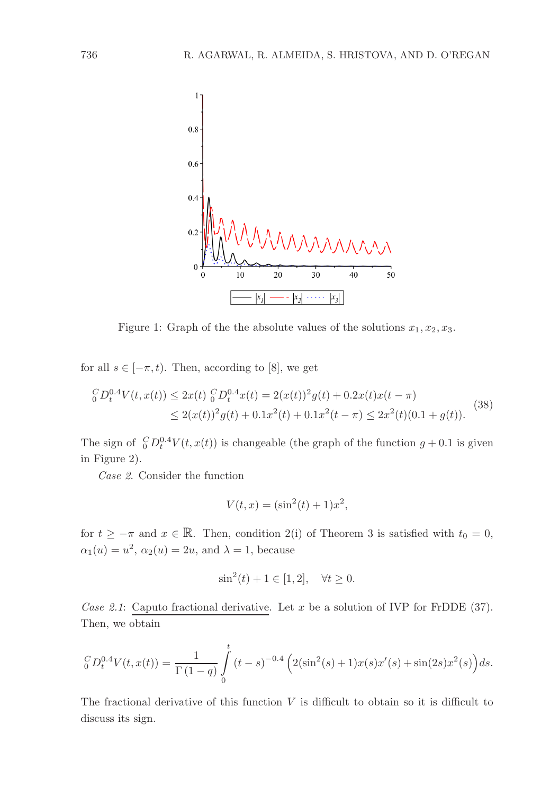

Figure 1: Graph of the the absolute values of the solutions  $x_1, x_2, x_3$ .

for all  $s \in [-\pi, t)$ . Then, according to [8], we get

$$
{}_{0}^{C}D_{t}^{0.4}V(t, x(t)) \leq 2x(t) {}_{0}^{C}D_{t}^{0.4}x(t) = 2(x(t))^{2}g(t) + 0.2x(t)x(t - \pi)
$$
  

$$
\leq 2(x(t))^{2}g(t) + 0.1x^{2}(t) + 0.1x^{2}(t - \pi) \leq 2x^{2}(t)(0.1 + g(t)).
$$
 (38)

The sign of  ${}_{0}^{C}D_{t}^{0.4}V(t, x(t))$  is changeable (the graph of the function  $g + 0.1$  is given in Figure 2).

Case 2. Consider the function

$$
V(t, x) = (\sin^2(t) + 1)x^2,
$$

for  $t \geq -\pi$  and  $x \in \mathbb{R}$ . Then, condition 2(i) of Theorem 3 is satisfied with  $t_0 = 0$ ,  $\alpha_1(u) = u^2$ ,  $\alpha_2(u) = 2u$ , and  $\lambda = 1$ , because

$$
\sin^2(t) + 1 \in [1, 2], \quad \forall t \ge 0.
$$

Case 2.1: Caputo fractional derivative. Let x be a solution of IVP for FrDDE  $(37)$ . Then, we obtain

$$
{}_0^C D_t^{0.4} V(t, x(t)) = \frac{1}{\Gamma(1-q)} \int_0^t (t-s)^{-0.4} \left( 2(\sin^2(s) + 1) x(s) x'(s) + \sin(2s) x^2(s) \right) ds.
$$

The fractional derivative of this function  $V$  is difficult to obtain so it is difficult to discuss its sign.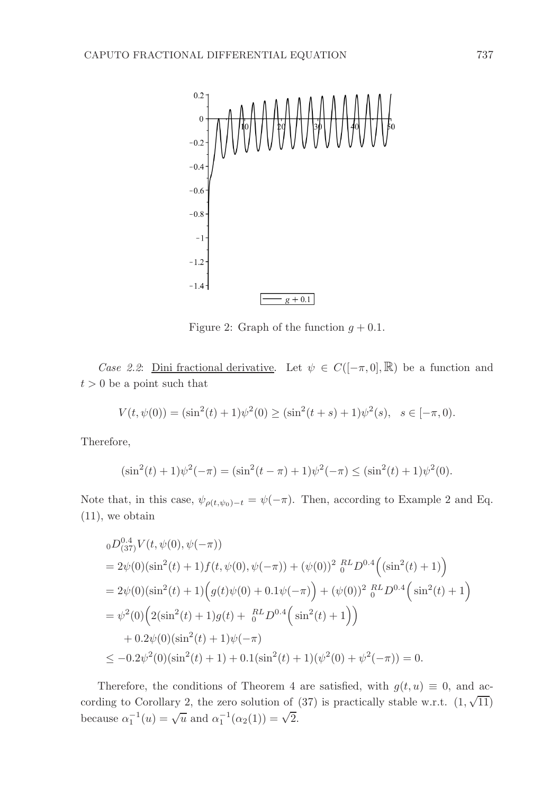

Figure 2: Graph of the function  $q + 0.1$ .

Case 2.2: Dini fractional derivative. Let  $\psi \in C([-\pi,0],\mathbb{R})$  be a function and  $t > 0$  be a point such that

$$
V(t, \psi(0)) = (\sin^2(t) + 1)\psi^2(0) \ge (\sin^2(t+s) + 1)\psi^2(s), \quad s \in [-\pi, 0).
$$

Therefore,

$$
(\sin^2(t) + 1)\psi^2(-\pi) = (\sin^2(t - \pi) + 1)\psi^2(-\pi) \le (\sin^2(t) + 1)\psi^2(0).
$$

Note that, in this case,  $\psi_{\rho(t,\psi_0)-t} = \psi(-\pi)$ . Then, according to Example 2 and Eq. (11), we obtain

$$
{}_{0}D_{(37)}^{0.4}V(t, \psi(0), \psi(-\pi))
$$
  
=  $2\psi(0)(\sin^{2}(t) + 1)f(t, \psi(0), \psi(-\pi)) + (\psi(0))^{2} {}_{0}^{RL}D^{0.4}((\sin^{2}(t) + 1))$   
=  $2\psi(0)(\sin^{2}(t) + 1)(g(t)\psi(0) + 0.1\psi(-\pi)) + (\psi(0))^{2} {}_{0}^{RL}D^{0.4}(\sin^{2}(t) + 1)$   
=  $\psi^{2}(0)\Big(2(\sin^{2}(t) + 1)g(t) + {}_{0}^{RL}D^{0.4}(\sin^{2}(t) + 1)\Big)$   
+  $0.2\psi(0)(\sin^{2}(t) + 1)\psi(-\pi)$   
 $\leq -0.2\psi^{2}(0)(\sin^{2}(t) + 1) + 0.1(\sin^{2}(t) + 1)(\psi^{2}(0) + \psi^{2}(-\pi)) = 0.$ 

Therefore, the conditions of Theorem 4 are satisfied, with  $g(t, u) \equiv 0$ , and according to Corollary 2, the zero solution of (37) is practically stable w.r.t.  $(1, \sqrt{11})$ because  $\alpha_1^{-1}(u) = \sqrt{u}$  and  $\alpha_1^{-1}(\alpha_2(1)) = \sqrt{2}$ .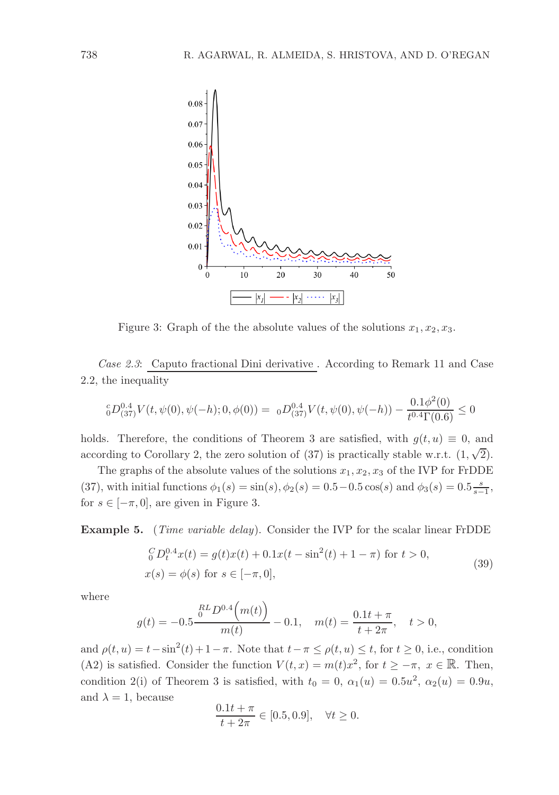

Figure 3: Graph of the the absolute values of the solutions  $x_1, x_2, x_3$ .

Case 2.3: Caputo fractional Dini derivative . According to Remark 11 and Case 2.2, the inequality

$$
{}_{0}^{c}D_{(37)}^{0.4}V(t,\psi(0),\psi(-h);0,\phi(0)) = 0 \cdot D_{(37)}^{0.4}V(t,\psi(0),\psi(-h)) - \frac{0.1\phi^{2}(0)}{t^{0.4}\Gamma(0.6)} \leq 0
$$

holds. Therefore, the conditions of Theorem 3 are satisfied, with  $g(t, u) \equiv 0$ , and according to Corollary 2, the zero solution of (37) is practically stable w.r.t.  $(1, \sqrt{2})$ .

The graphs of the absolute values of the solutions  $x_1, x_2, x_3$  of the IVP for FrDDE (37), with initial functions  $\phi_1(s) = \sin(s), \phi_2(s) = 0.5 - 0.5 \cos(s)$  and  $\phi_3(s) = 0.5 \frac{s}{s-1}$ , for  $s \in [-\pi, 0]$ , are given in Figure 3.

Example 5. (Time variable delay). Consider the IVP for the scalar linear FrDDE

$$
{}_{0}^{C}D_{t}^{0.4}x(t) = g(t)x(t) + 0.1x(t - \sin^{2}(t) + 1 - \pi) \text{ for } t > 0,
$$
  
\n
$$
x(s) = \phi(s) \text{ for } s \in [-\pi, 0],
$$
\n(39)

where

$$
g(t) = -0.5 \frac{\binom{RL}{0} \cdot 4(m(t))}{m(t)} - 0.1, \quad m(t) = \frac{0.1t + \pi}{t + 2\pi}, \quad t > 0,
$$

and  $\rho(t, u) = t - \sin^2(t) + 1 - \pi$ . Note that  $t - \pi \le \rho(t, u) \le t$ , for  $t \ge 0$ , i.e., condition (A2) is satisfied. Consider the function  $V(t, x) = m(t)x^2$ , for  $t \ge -\pi$ ,  $x \in \mathbb{R}$ . Then, condition 2(i) of Theorem 3 is satisfied, with  $t_0 = 0$ ,  $\alpha_1(u) = 0.5u^2$ ,  $\alpha_2(u) = 0.9u$ , and  $\lambda = 1$ , because

$$
\frac{0.1t + \pi}{t + 2\pi} \in [0.5, 0.9], \quad \forall t \ge 0.
$$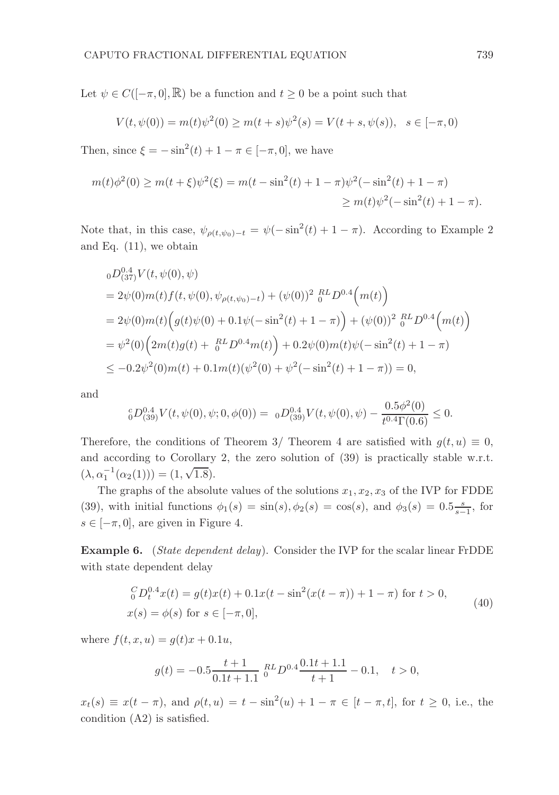Let  $\psi \in C([-\pi,0],\mathbb{R})$  be a function and  $t \geq 0$  be a point such that

$$
V(t, \psi(0)) = m(t)\psi^{2}(0) \ge m(t+s)\psi^{2}(s) = V(t+s, \psi(s)), \quad s \in [-\pi, 0)
$$

Then, since  $\xi = -\sin^2(t) + 1 - \pi \in [-\pi, 0]$ , we have

$$
m(t)\phi^2(0) \ge m(t+\xi)\psi^2(\xi) = m(t-\sin^2(t) + 1 - \pi)\psi^2(-\sin^2(t) + 1 - \pi)
$$
  
 
$$
\ge m(t)\psi^2(-\sin^2(t) + 1 - \pi).
$$

Note that, in this case,  $\psi_{\rho(t,\psi_0)-t} = \psi(-\sin^2(t) + 1 - \pi)$ . According to Example 2 and Eq. (11), we obtain

$$
{}_{0}D_{(37)}^{0.4}V(t, \psi(0), \psi)
$$
  
=  $2\psi(0)m(t)f(t, \psi(0), \psi_{\rho(t, \psi_0)-t}) + (\psi(0))^2 {}_{0}^{RL}D^{0.4}(m(t))$   
=  $2\psi(0)m(t) (g(t)\psi(0) + 0.1\psi(-\sin^2(t) + 1 - \pi)) + (\psi(0))^2 {}_{0}^{RL}D^{0.4}(m(t))$   
=  $\psi^2(0) (2m(t)g(t) + {}_{0}^{RL}D^{0.4}m(t)) + 0.2\psi(0)m(t)\psi(-\sin^2(t) + 1 - \pi)$   
 $\leq -0.2\psi^2(0)m(t) + 0.1m(t)(\psi^2(0) + \psi^2(-\sin^2(t) + 1 - \pi)) = 0,$ 

and

$$
{}_{0}^{c}D_{(39)}^{0.4}V(t,\psi(0),\psi;0,\phi(0)) = 0 D_{(39)}^{0.4}V(t,\psi(0),\psi) - \frac{0.5\phi^2(0)}{t^{0.4}\Gamma(0.6)} \leq 0.
$$

Therefore, the conditions of Theorem 3/ Theorem 4 are satisfied with  $g(t, u) \equiv 0$ , and according to Corollary 2, the zero solution of (39) is practically stable w.r.t.  $(\lambda, \alpha_1^{-1}(\alpha_2(1))) = (1, \sqrt{1.8}).$ 

The graphs of the absolute values of the solutions  $x_1, x_2, x_3$  of the IVP for FDDE (39), with initial functions  $\phi_1(s) = \sin(s), \phi_2(s) = \cos(s)$ , and  $\phi_3(s) = 0.5\frac{s}{s-1}$ , for  $s \in [-\pi, 0]$ , are given in Figure 4.

Example 6. (State dependent delay). Consider the IVP for the scalar linear FrDDE with state dependent delay

$$
{}_{0}^{C}D_{t}^{0.4}x(t) = g(t)x(t) + 0.1x(t - \sin^{2}(x(t - \pi)) + 1 - \pi) \text{ for } t > 0,
$$
  
\n
$$
x(s) = \phi(s) \text{ for } s \in [-\pi, 0],
$$
\n(40)

where  $f(t, x, u) = g(t)x + 0.1u$ ,

$$
g(t) = -0.5 \frac{t+1}{0.1t+1.1} \, {}_{0}^{RL} D^{0.4} \frac{0.1t+1.1}{t+1} - 0.1, \quad t > 0,
$$

 $x_t(s) \equiv x(t - \pi)$ , and  $\rho(t, u) = t - \sin^2(u) + 1 - \pi \in [t - \pi, t]$ , for  $t \ge 0$ , i.e., the condition (A2) is satisfied.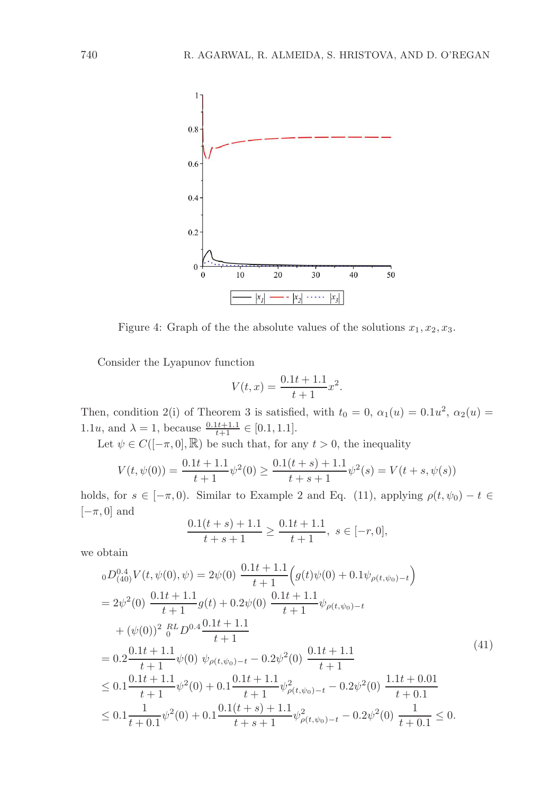

Figure 4: Graph of the the absolute values of the solutions  $x_1, x_2, x_3$ .

Consider the Lyapunov function

$$
V(t,x) = \frac{0.1t + 1.1}{t + 1}x^2.
$$

Then, condition 2(i) of Theorem 3 is satisfied, with  $t_0 = 0$ ,  $\alpha_1(u) = 0.1u^2$ ,  $\alpha_2(u) =$ 1.1u, and  $\lambda = 1$ , because  $\frac{0.1t+1.1}{t+1} \in [0.1, 1.1]$ .

Let  $\psi \in C([-\pi,0],\mathbb{R})$  be such that, for any  $t > 0$ , the inequality

$$
V(t, \psi(0)) = \frac{0.1t + 1.1}{t + 1} \psi^2(0) \ge \frac{0.1(t + s) + 1.1}{t + s + 1} \psi^2(s) = V(t + s, \psi(s))
$$

holds, for  $s \in [-\pi, 0]$ . Similar to Example 2 and Eq. (11), applying  $\rho(t, \psi_0) - t \in$  $[-\pi, 0]$  and

$$
\frac{0.1(t+s) + 1.1}{t+s+1} \ge \frac{0.1t+1.1}{t+1}, \ s \in [-r, 0],
$$

we obtain

$$
{}_{0}D_{(40)}^{0.4}V(t,\psi(0),\psi) = 2\psi(0) \frac{0.1t + 1.1}{t + 1} \Big(g(t)\psi(0) + 0.1\psi_{\rho(t,\psi_0)-t}\Big)
$$
  
\n
$$
= 2\psi^2(0) \frac{0.1t + 1.1}{t + 1}g(t) + 0.2\psi(0) \frac{0.1t + 1.1}{t + 1}\psi_{\rho(t,\psi_0)-t}
$$
  
\n
$$
+ (\psi(0))^2 \frac{RL}{0}D^{0.4} \frac{0.1t + 1.1}{t + 1}
$$
  
\n
$$
= 0.2 \frac{0.1t + 1.1}{t + 1}\psi(0) \psi_{\rho(t,\psi_0)-t} - 0.2\psi^2(0) \frac{0.1t + 1.1}{t + 1}
$$
  
\n
$$
\leq 0.1 \frac{0.1t + 1.1}{t + 1}\psi^2(0) + 0.1 \frac{0.1t + 1.1}{t + 1}\psi_{\rho(t,\psi_0)-t}^2 - 0.2\psi^2(0) \frac{1.1t + 0.01}{t + 0.1}
$$
  
\n
$$
\leq 0.1 \frac{1}{t + 0.1}\psi^2(0) + 0.1 \frac{0.1(t + s) + 1.1}{t + s + 1}\psi_{\rho(t,\psi_0)-t}^2 - 0.2\psi^2(0) \frac{1}{t + 0.1} \leq 0.
$$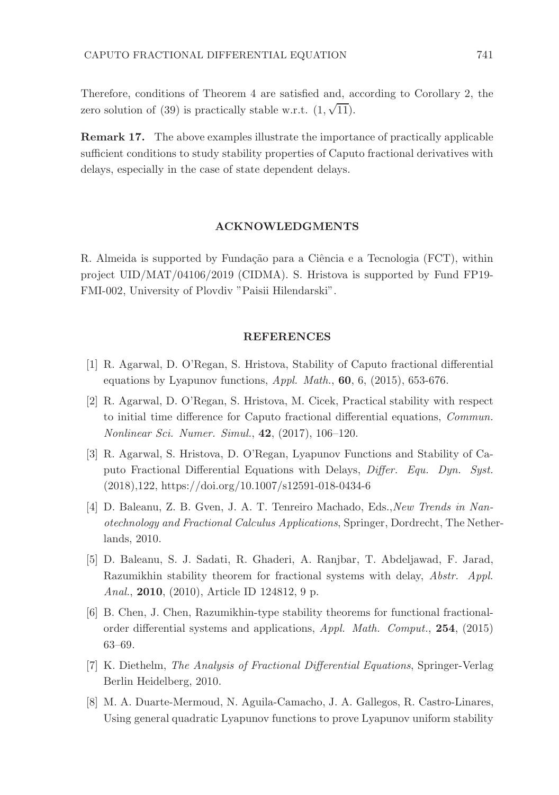Therefore, conditions of Theorem 4 are satisfied and, according to Corollary 2, the zero solution of (39) is practically stable w.r.t.  $(1, \sqrt{11})$ .

Remark 17. The above examples illustrate the importance of practically applicable sufficient conditions to study stability properties of Caputo fractional derivatives with delays, especially in the case of state dependent delays.

### ACKNOWLEDGMENTS

R. Almeida is supported by Fundação para a Ciência e a Tecnologia (FCT), within project UID/MAT/04106/2019 (CIDMA). S. Hristova is supported by Fund FP19- FMI-002, University of Plovdiv "Paisii Hilendarski".

### REFERENCES

- [1] R. Agarwal, D. O'Regan, S. Hristova, Stability of Caputo fractional differential equations by Lyapunov functions,  $Appl. Math., 60, 6, (2015), 653-676.$
- [2] R. Agarwal, D. O'Regan, S. Hristova, M. Cicek, Practical stability with respect to initial time difference for Caputo fractional differential equations, Commun. Nonlinear Sci. Numer. Simul., 42, (2017), 106–120.
- [3] R. Agarwal, S. Hristova, D. O'Regan, Lyapunov Functions and Stability of Caputo Fractional Differential Equations with Delays, Differ. Equ. Dyn. Syst. (2018),122, https://doi.org/10.1007/s12591-018-0434-6
- [4] D. Baleanu, Z. B. Gven, J. A. T. Tenreiro Machado, Eds., New Trends in Nanotechnology and Fractional Calculus Applications, Springer, Dordrecht, The Netherlands, 2010.
- [5] D. Baleanu, S. J. Sadati, R. Ghaderi, A. Ranjbar, T. Abdeljawad, F. Jarad, Razumikhin stability theorem for fractional systems with delay, Abstr. Appl. Anal., 2010, (2010), Article ID 124812, 9 p.
- [6] B. Chen, J. Chen, Razumikhin-type stability theorems for functional fractionalorder differential systems and applications, Appl. Math. Comput., 254, (2015) 63–69.
- [7] K. Diethelm, The Analysis of Fractional Differential Equations, Springer-Verlag Berlin Heidelberg, 2010.
- [8] M. A. Duarte-Mermoud, N. Aguila-Camacho, J. A. Gallegos, R. Castro-Linares, Using general quadratic Lyapunov functions to prove Lyapunov uniform stability